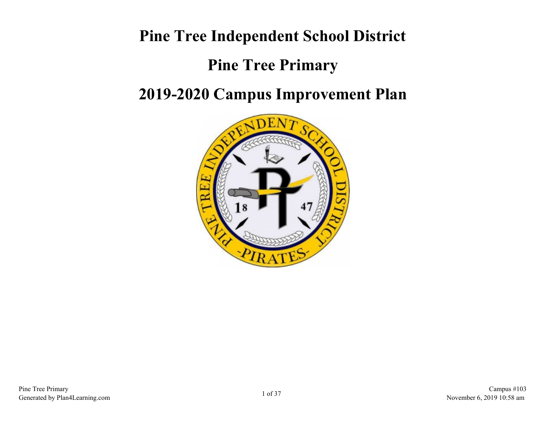# **Pine Tree Independent School District**

# **Pine Tree Primary**

## **2019-2020 Campus Improvement Plan**

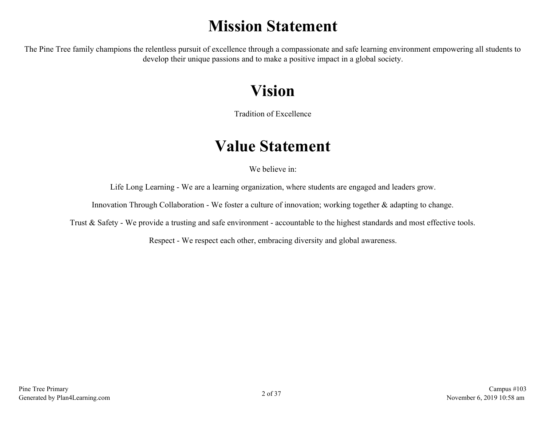# **Mission Statement**

The Pine Tree family champions the relentless pursuit of excellence through a compassionate and safe learning environment empowering all students to develop their unique passions and to make a positive impact in a global society.

# **Vision**

Tradition of Excellence

## **Value Statement**

We believe in:

Life Long Learning - We are a learning organization, where students are engaged and leaders grow.

Innovation Through Collaboration - We foster a culture of innovation; working together & adapting to change.

Trust & Safety - We provide a trusting and safe environment - accountable to the highest standards and most effective tools.

Respect - We respect each other, embracing diversity and global awareness.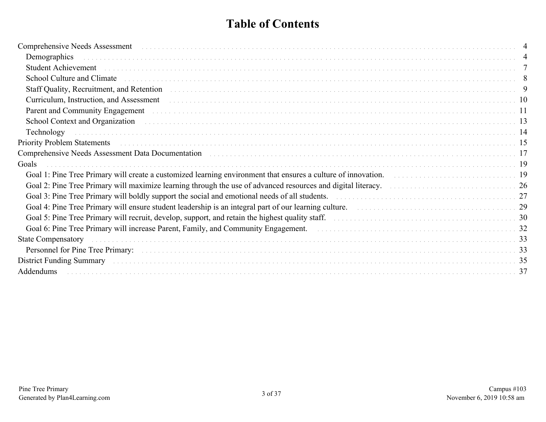## **Table of Contents**

| Comprehensive Needs Assessment                                                                                                                                                                                                 |  |
|--------------------------------------------------------------------------------------------------------------------------------------------------------------------------------------------------------------------------------|--|
| Demographics                                                                                                                                                                                                                   |  |
| Student Achievement (and according to the control of the control of the control of the control of the control of the control of the control of the control of the control of the control of the control of the control of the  |  |
| School Culture and Climate                                                                                                                                                                                                     |  |
| Staff Quality, Recruitment, and Retention enters and security and such a second contract the contract of the state of the state of the state of the state of the state of the state of the state of the state of the state of  |  |
| Curriculum, Instruction, and Assessment entertainment contains the control of the control of the control of the control of the control of the control of the control of the control of the control of the control of the contr |  |
| Parent and Community Engagement (and a series are conserved as a series and a series are conserved as a series of $11$                                                                                                         |  |
|                                                                                                                                                                                                                                |  |
| Technology                                                                                                                                                                                                                     |  |
| Priority Problem Statements (and the contract of the contract of the contract of the contract of the contract of the contract of the contract of the contract of the contract of the contract of the contract of the contract  |  |
| Comprehensive Needs Assessment Data Documentation (and all contracts and all contracts and all comprehensive Needs Assessment Data Documentation (and all contracts and all contracts and all contracts and all contracts and  |  |
| Goals                                                                                                                                                                                                                          |  |
| Goal 1: Pine Tree Primary will create a customized learning environment that ensures a culture of innovation.<br>19                                                                                                            |  |
| Goal 2: Pine Tree Primary will maximize learning through the use of advanced resources and digital literacy.                                                                                                                   |  |
| Goal 3: Pine Tree Primary will boldly support the social and emotional needs of all students.<br>27                                                                                                                            |  |
| Goal 4: Pine Tree Primary will ensure student leadership is an integral part of our learning culture.<br>29                                                                                                                    |  |
|                                                                                                                                                                                                                                |  |
|                                                                                                                                                                                                                                |  |
| <b>State Compensatory</b>                                                                                                                                                                                                      |  |
|                                                                                                                                                                                                                                |  |
|                                                                                                                                                                                                                                |  |
| Addendums                                                                                                                                                                                                                      |  |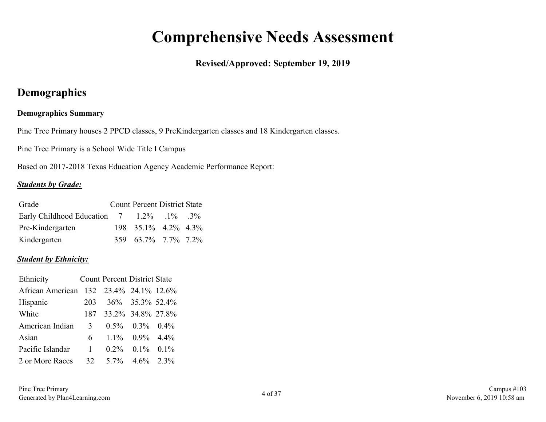## **Comprehensive Needs Assessment**

### **Revised/Approved: September 19, 2019**

## <span id="page-3-0"></span>**Demographics**

### **Demographics Summary**

Pine Tree Primary houses 2 PPCD classes, 9 PreKindergarten classes and 18 Kindergarten classes.

Pine Tree Primary is a School Wide Title I Campus

Based on 2017-2018 Texas Education Agency Academic Performance Report:

#### *Students by Grade:*

| Grade                                                  | <b>Count Percent District State</b> |  |
|--------------------------------------------------------|-------------------------------------|--|
| Early Childhood Education $7 \t 1.2\% \t .1\% \t .3\%$ |                                     |  |
| Pre-Kindergarten                                       | $198$ $35.1\%$ $4.2\%$ $4.3\%$      |  |
| Kindergarten                                           | 359 63.7% 7.7% 7.2%                 |  |

#### *Student by Ethnicity:*

| Ethnicity        |     | <b>Count Percent District State</b> |                         |  |
|------------------|-----|-------------------------------------|-------------------------|--|
| African American |     | 132 23.4% 24.1% 12.6%               |                         |  |
| Hispanic         | 203 | 36\% 35.3\% 52.4\%                  |                         |  |
| White            |     | 187 33.2% 34.8% 27.8%               |                         |  |
| American Indian  | 3   |                                     | $0.5\%$ $0.3\%$ $0.4\%$ |  |
| Asian            | 6 — |                                     | $1.1\%$ 0.9% 4.4%       |  |
| Pacific Islandar | 1   |                                     | $0.2\%$ $0.1\%$ $0.1\%$ |  |
| 2 or More Races  | 32  |                                     | $5.7\%$ $4.6\%$ $2.3\%$ |  |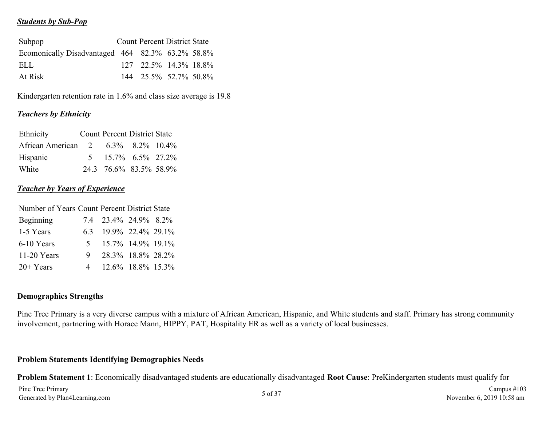#### *Students by Sub-Pop*

| Subpop                                           |  | <b>Count Percent District State</b> |  |
|--------------------------------------------------|--|-------------------------------------|--|
| Ecomonically Disadvantaged 464 82.3% 63.2% 58.8% |  |                                     |  |
| ELL.                                             |  | $127$ $22.5\%$ $14.3\%$ 18.8%       |  |
| At Risk                                          |  | 144 25.5% 52.7% 50.8%               |  |

Kindergarten retention rate in 1.6% and class size average is 19.8

#### *Teachers by Ethnicity*

| Ethnicity                          | <b>Count Percent District State</b>      |  |
|------------------------------------|------------------------------------------|--|
| African American 2 6.3% 8.2% 10.4% |                                          |  |
| Hispanic                           | $5\quad 15.7\% \quad 6.5\% \quad 27.2\%$ |  |
| White                              | 24.3 76.6% 83.5% 58.9%                   |  |

#### *Teacher by Years of Experience*

| Number of Years Count Percent District State |                |                       |                   |  |  |  |  |  |
|----------------------------------------------|----------------|-----------------------|-------------------|--|--|--|--|--|
| Beginning                                    |                | 7.4 23.4% 24.9% 8.2%  |                   |  |  |  |  |  |
| 1-5 Years                                    |                | 6.3 19.9% 22.4% 29.1% |                   |  |  |  |  |  |
| 6-10 Years                                   | 5 <sup>7</sup> |                       | 15.7% 14.9% 19.1% |  |  |  |  |  |
| $11-20$ Years                                | 9.             |                       | 28.3% 18.8% 28.2% |  |  |  |  |  |
| $20+Years$                                   | 4              |                       | 12.6% 18.8% 15.3% |  |  |  |  |  |

#### **Demographics Strengths**

Pine Tree Primary is a very diverse campus with a mixture of African American, Hispanic, and White students and staff. Primary has strong community involvement, partnering with Horace Mann, HIPPY, PAT, Hospitality ER as well as a variety of local businesses.

#### **Problem Statements Identifying Demographics Needs**

**Problem Statement 1**: Economically disadvantaged students are educationally disadvantaged **Root Cause**: PreKindergarten students must qualify for Pine Tree Primary Fine Tree Primary Campus #103<br>Generated by Plan4Learning.com **5 of 37** Campus #103<br>November 6, 2019 10:58 am November 6, 2019 10:58 am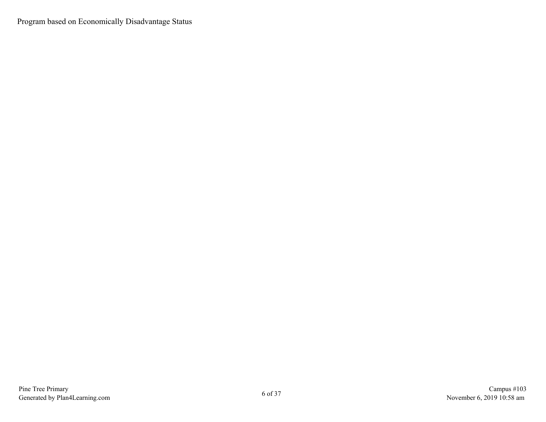Program based on Economically Disadvantage Status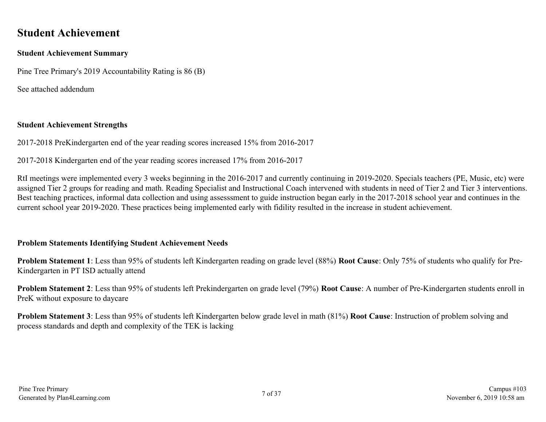### <span id="page-6-0"></span>**Student Achievement**

#### **Student Achievement Summary**

Pine Tree Primary's 2019 Accountability Rating is 86 (B)

See attached addendum

#### **Student Achievement Strengths**

2017-2018 PreKindergarten end of the year reading scores increased 15% from 2016-2017

2017-2018 Kindergarten end of the year reading scores increased 17% from 2016-2017

RtI meetings were implemented every 3 weeks beginning in the 2016-2017 and currently continuing in 2019-2020. Specials teachers (PE, Music, etc) were assigned Tier 2 groups for reading and math. Reading Specialist and Instructional Coach intervened with students in need of Tier 2 and Tier 3 interventions. Best teaching practices, informal data collection and using assesssment to guide instruction began early in the 2017-2018 school year and continues in the current school year 2019-2020. These practices being implemented early with fidility resulted in the increase in student achievement.

#### **Problem Statements Identifying Student Achievement Needs**

**Problem Statement 1**: Less than 95% of students left Kindergarten reading on grade level (88%) **Root Cause**: Only 75% of students who qualify for Pre-Kindergarten in PT ISD actually attend

**Problem Statement 2**: Less than 95% of students left Prekindergarten on grade level (79%) **Root Cause**: A number of Pre-Kindergarten students enroll in PreK without exposure to daycare

**Problem Statement 3**: Less than 95% of students left Kindergarten below grade level in math (81%) **Root Cause**: Instruction of problem solving and process standards and depth and complexity of the TEK is lacking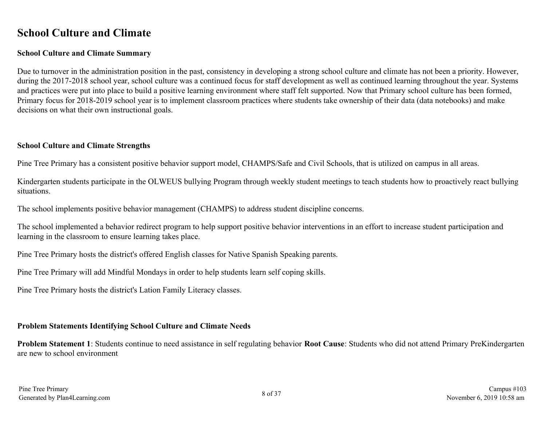### <span id="page-7-0"></span>**School Culture and Climate**

#### **School Culture and Climate Summary**

Due to turnover in the administration position in the past, consistency in developing a strong school culture and climate has not been a priority. However, during the 2017-2018 school year, school culture was a continued focus for staff development as well as continued learning throughout the year. Systems and practices were put into place to build a positive learning environment where staff felt supported. Now that Primary school culture has been formed, Primary focus for 2018-2019 school year is to implement classroom practices where students take ownership of their data (data notebooks) and make decisions on what their own instructional goals.

#### **School Culture and Climate Strengths**

Pine Tree Primary has a consistent positive behavior support model, CHAMPS/Safe and Civil Schools, that is utilized on campus in all areas.

Kindergarten students participate in the OLWEUS bullying Program through weekly student meetings to teach students how to proactively react bullying situations.

The school implements positive behavior management (CHAMPS) to address student discipline concerns.

The school implemented a behavior redirect program to help support positive behavior interventions in an effort to increase student participation and learning in the classroom to ensure learning takes place.

Pine Tree Primary hosts the district's offered English classes for Native Spanish Speaking parents.

Pine Tree Primary will add Mindful Mondays in order to help students learn self coping skills.

Pine Tree Primary hosts the district's Lation Family Literacy classes.

### **Problem Statements Identifying School Culture and Climate Needs**

**Problem Statement 1**: Students continue to need assistance in self regulating behavior **Root Cause**: Students who did not attend Primary PreKindergarten are new to school environment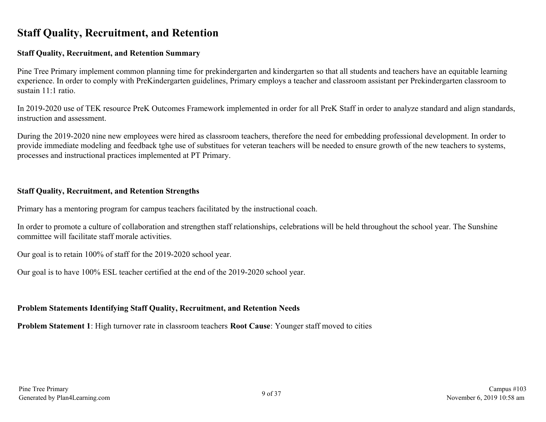## <span id="page-8-0"></span>**Staff Quality, Recruitment, and Retention**

#### **Staff Quality, Recruitment, and Retention Summary**

Pine Tree Primary implement common planning time for prekindergarten and kindergarten so that all students and teachers have an equitable learning experience. In order to comply with PreKindergarten guidelines, Primary employs a teacher and classroom assistant per Prekindergarten classroom to sustain 11:1 ratio.

In 2019-2020 use of TEK resource PreK Outcomes Framework implemented in order for all PreK Staff in order to analyze standard and align standards, instruction and assessment.

During the 2019-2020 nine new employees were hired as classroom teachers, therefore the need for embedding professional development. In order to provide immediate modeling and feedback tghe use of substitues for veteran teachers will be needed to ensure growth of the new teachers to systems, processes and instructional practices implemented at PT Primary.

#### **Staff Quality, Recruitment, and Retention Strengths**

Primary has a mentoring program for campus teachers facilitated by the instructional coach.

In order to promote a culture of collaboration and strengthen staff relationships, celebrations will be held throughout the school year. The Sunshine committee will facilitate staff morale activities.

Our goal is to retain 100% of staff for the 2019-2020 school year.

Our goal is to have 100% ESL teacher certified at the end of the 2019-2020 school year.

#### **Problem Statements Identifying Staff Quality, Recruitment, and Retention Needs**

**Problem Statement 1**: High turnover rate in classroom teachers **Root Cause**: Younger staff moved to cities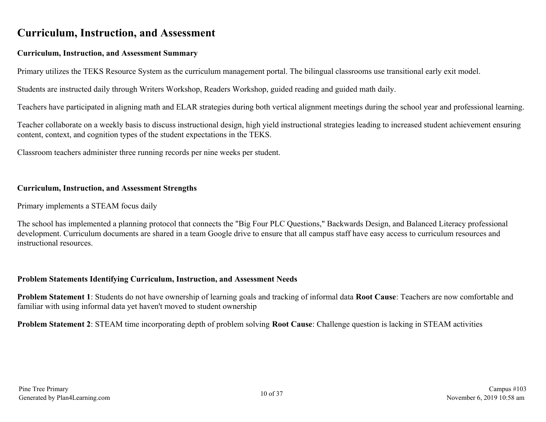### <span id="page-9-0"></span>**Curriculum, Instruction, and Assessment**

#### **Curriculum, Instruction, and Assessment Summary**

Primary utilizes the TEKS Resource System as the curriculum management portal. The bilingual classrooms use transitional early exit model.

Students are instructed daily through Writers Workshop, Readers Workshop, guided reading and guided math daily.

Teachers have participated in aligning math and ELAR strategies during both vertical alignment meetings during the school year and professional learning.

Teacher collaborate on a weekly basis to discuss instructional design, high yield instructional strategies leading to increased student achievement ensuring content, context, and cognition types of the student expectations in the TEKS.

Classroom teachers administer three running records per nine weeks per student.

#### **Curriculum, Instruction, and Assessment Strengths**

Primary implements a STEAM focus daily

The school has implemented a planning protocol that connects the "Big Four PLC Questions," Backwards Design, and Balanced Literacy professional development. Curriculum documents are shared in a team Google drive to ensure that all campus staff have easy access to curriculum resources and instructional resources.

#### **Problem Statements Identifying Curriculum, Instruction, and Assessment Needs**

**Problem Statement 1**: Students do not have ownership of learning goals and tracking of informal data **Root Cause**: Teachers are now comfortable and familiar with using informal data yet haven't moved to student ownership

**Problem Statement 2**: STEAM time incorporating depth of problem solving **Root Cause**: Challenge question is lacking in STEAM activities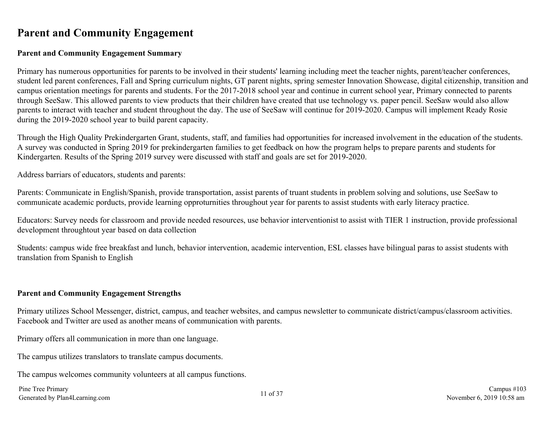### <span id="page-10-0"></span>**Parent and Community Engagement**

#### **Parent and Community Engagement Summary**

Primary has numerous opportunities for parents to be involved in their students' learning including meet the teacher nights, parent/teacher conferences, student led parent conferences, Fall and Spring curriculum nights, GT parent nights, spring semester Innovation Showcase, digital citizenship, transition and campus orientation meetings for parents and students. For the 2017-2018 school year and continue in current school year, Primary connected to parents through SeeSaw. This allowed parents to view products that their children have created that use technology vs. paper pencil. SeeSaw would also allow parents to interact with teacher and student throughout the day. The use of SeeSaw will continue for 2019-2020. Campus will implement Ready Rosie during the 2019-2020 school year to build parent capacity.

Through the High Quality Prekindergarten Grant, students, staff, and families had opportunities for increased involvement in the education of the students. A survey was conducted in Spring 2019 for prekindergarten families to get feedback on how the program helps to prepare parents and students for Kindergarten. Results of the Spring 2019 survey were discussed with staff and goals are set for 2019-2020.

Address barriars of educators, students and parents:

Parents: Communicate in English/Spanish, provide transportation, assist parents of truant students in problem solving and solutions, use SeeSaw to communicate academic porducts, provide learning opproturnities throughout year for parents to assist students with early literacy practice.

Educators: Survey needs for classroom and provide needed resources, use behavior interventionist to assist with TIER 1 instruction, provide professional development throughtout year based on data collection

Students: campus wide free breakfast and lunch, behavior intervention, academic intervention, ESL classes have bilingual paras to assist students with translation from Spanish to English

#### **Parent and Community Engagement Strengths**

Primary utilizes School Messenger, district, campus, and teacher websites, and campus newsletter to communicate district/campus/classroom activities. Facebook and Twitter are used as another means of communication with parents.

Primary offers all communication in more than one language.

The campus utilizes translators to translate campus documents.

The campus welcomes community volunteers at all campus functions.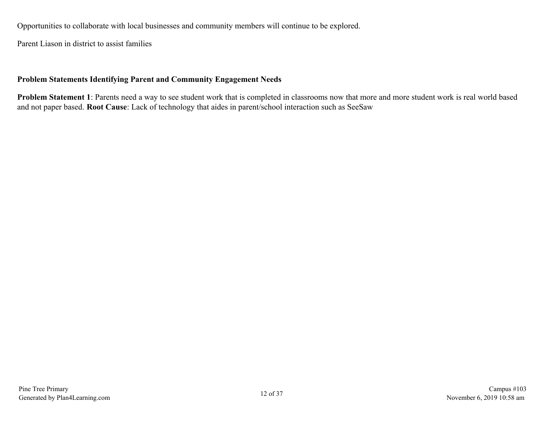Opportunities to collaborate with local businesses and community members will continue to be explored.

Parent Liason in district to assist families

#### **Problem Statements Identifying Parent and Community Engagement Needs**

**Problem Statement 1**: Parents need a way to see student work that is completed in classrooms now that more and more student work is real world based and not paper based. **Root Cause**: Lack of technology that aides in parent/school interaction such as SeeSaw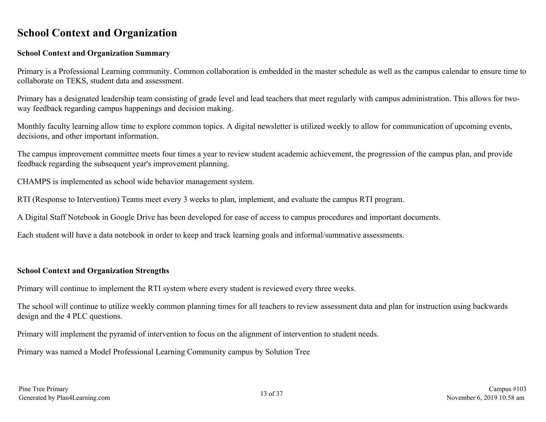### <span id="page-12-0"></span>**School Context and Organization**

#### **School Context and Organization Summary**

Primary is a Professional Learning community. Common collaboration is embedded in the master schedule as well as the campus calendar to ensure time to collaborate on TEKS, student data and assessment.

Primary has a designated leadership team consisting of grade level and lead teachers that meet regularly with campus administration. This allows for twoway feedback regarding campus happenings and decision making.

Monthly faculty learning allow time to explore common topics. A digital newsletter is utilized weekly to allow for communication of upcoming events, decisions, and other important information.

The campus improvement committee meets four times a year to review student academic achievement, the progression of the campus plan, and provide feedback regarding the subsequent year's improvement planning.

CHAMPS is implemented as school wide behavior management system.

RTI (Response to Intervention) Teams meet every 3 weeks to plan, implement, and evaluate the campus RTI program.

A Digital Staff Notebook in Google Drive has been developed for ease of access to campus procedures and important documents.

Each student will have a data notebook in order to keep and track learning goals and informal/summative assessments.

#### **School Context and Organization Strengths**

Primary will continue to implement the RTI system where every student is reviewed every three weeks.

The school will continue to utilize weekly common planning times for all teachers to review assessment data and plan for instruction using backwards design and the 4 PLC questions.

Primary will implement the pyramid of intervention to focus on the alignment of intervention to student needs.

Primary was named a Model Professional Learning Community campus by Solution Tree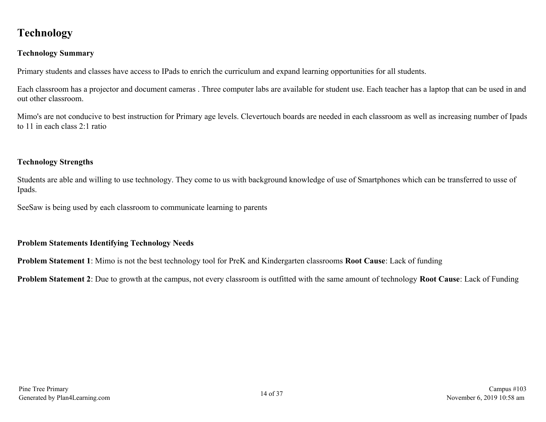## <span id="page-13-0"></span>**Technology**

### **Technology Summary**

Primary students and classes have access to IPads to enrich the curriculum and expand learning opportunities for all students.

Each classroom has a projector and document cameras . Three computer labs are available for student use. Each teacher has a laptop that can be used in and out other classroom.

Mimo's are not conducive to best instruction for Primary age levels. Clevertouch boards are needed in each classroom as well as increasing number of Ipads to 11 in each class 2:1 ratio

#### **Technology Strengths**

Students are able and willing to use technology. They come to us with background knowledge of use of Smartphones which can be transferred to usse of Ipads.

SeeSaw is being used by each classroom to communicate learning to parents

#### **Problem Statements Identifying Technology Needs**

**Problem Statement 1**: Mimo is not the best technology tool for PreK and Kindergarten classrooms **Root Cause**: Lack of funding

**Problem Statement 2**: Due to growth at the campus, not every classroom is outfitted with the same amount of technology **Root Cause**: Lack of Funding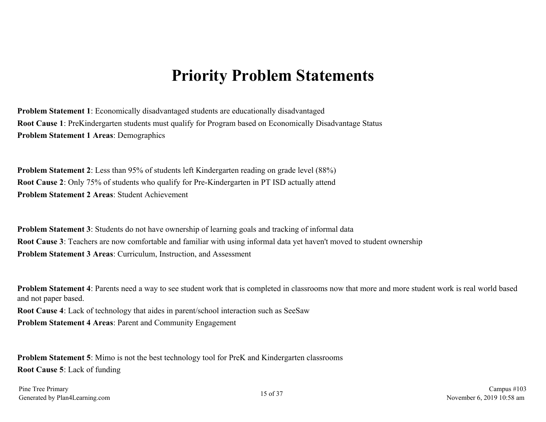## **Priority Problem Statements**

<span id="page-14-0"></span>**Problem Statement 1**: Economically disadvantaged students are educationally disadvantaged **Root Cause 1**: PreKindergarten students must qualify for Program based on Economically Disadvantage Status **Problem Statement 1 Areas**: Demographics

**Problem Statement 2**: Less than 95% of students left Kindergarten reading on grade level (88%) **Root Cause 2**: Only 75% of students who qualify for Pre-Kindergarten in PT ISD actually attend **Problem Statement 2 Areas**: Student Achievement

**Problem Statement 3**: Students do not have ownership of learning goals and tracking of informal data **Root Cause 3**: Teachers are now comfortable and familiar with using informal data yet haven't moved to student ownership **Problem Statement 3 Areas**: Curriculum, Instruction, and Assessment

**Problem Statement 4**: Parents need a way to see student work that is completed in classrooms now that more and more student work is real world based and not paper based.

**Root Cause 4**: Lack of technology that aides in parent/school interaction such as SeeSaw **Problem Statement 4 Areas**: Parent and Community Engagement

**Problem Statement 5**: Mimo is not the best technology tool for PreK and Kindergarten classrooms **Root Cause 5**: Lack of funding

Pine Tree Primary Fine Tree Primary Campus #103<br>Generated by Plan4Learning.com 15 of 37 Campus #103<br>November 6, 2019 10:58 am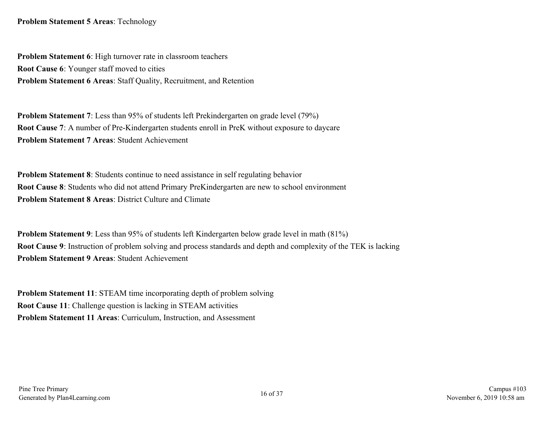**Problem Statement 5 Areas**: Technology

**Problem Statement 6**: High turnover rate in classroom teachers **Root Cause 6**: Younger staff moved to cities **Problem Statement 6 Areas**: Staff Quality, Recruitment, and Retention

**Problem Statement 7**: Less than 95% of students left Prekindergarten on grade level (79%) **Root Cause 7**: A number of Pre-Kindergarten students enroll in PreK without exposure to daycare **Problem Statement 7 Areas**: Student Achievement

**Problem Statement 8**: Students continue to need assistance in self regulating behavior **Root Cause 8**: Students who did not attend Primary PreKindergarten are new to school environment **Problem Statement 8 Areas**: District Culture and Climate

**Problem Statement 9**: Less than 95% of students left Kindergarten below grade level in math (81%) **Root Cause 9**: Instruction of problem solving and process standards and depth and complexity of the TEK is lacking **Problem Statement 9 Areas**: Student Achievement

**Problem Statement 11: STEAM time incorporating depth of problem solving Root Cause 11**: Challenge question is lacking in STEAM activities **Problem Statement 11 Areas**: Curriculum, Instruction, and Assessment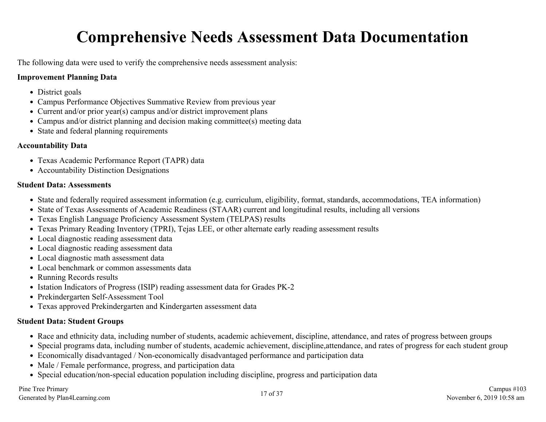# **Comprehensive Needs Assessment Data Documentation**

<span id="page-16-0"></span>The following data were used to verify the comprehensive needs assessment analysis:

#### **Improvement Planning Data**

- District goals
- Campus Performance Objectives Summative Review from previous year
- Current and/or prior year(s) campus and/or district improvement plans
- Campus and/or district planning and decision making committee(s) meeting data
- State and federal planning requirements

#### **Accountability Data**

- Texas Academic Performance Report (TAPR) data
- Accountability Distinction Designations

#### **Student Data: Assessments**

- State and federally required assessment information (e.g. curriculum, eligibility, format, standards, accommodations, TEA information)
- State of Texas Assessments of Academic Readiness (STAAR) current and longitudinal results, including all versions
- Texas English Language Proficiency Assessment System (TELPAS) results
- Texas Primary Reading Inventory (TPRI), Tejas LEE, or other alternate early reading assessment results
- Local diagnostic reading assessment data
- Local diagnostic reading assessment data
- Local diagnostic math assessment data
- Local benchmark or common assessments data
- Running Records results
- Istation Indicators of Progress (ISIP) reading assessment data for Grades PK-2
- Prekindergarten Self-Assessment Tool
- Texas approved Prekindergarten and Kindergarten assessment data

#### **Student Data: Student Groups**

- Race and ethnicity data, including number of students, academic achievement, discipline, attendance, and rates of progress between groups
- Special programs data, including number of students, academic achievement, discipline,attendance, and rates of progress for each student group
- Economically disadvantaged / Non-economically disadvantaged performance and participation data
- Male / Female performance, progress, and participation data
- Special education/non-special education population including discipline, progress and participation data

Pine Tree Primary Fine Tree Primary Campus #103<br>Generated by Plan4Learning.com 17 of 37 Campus #103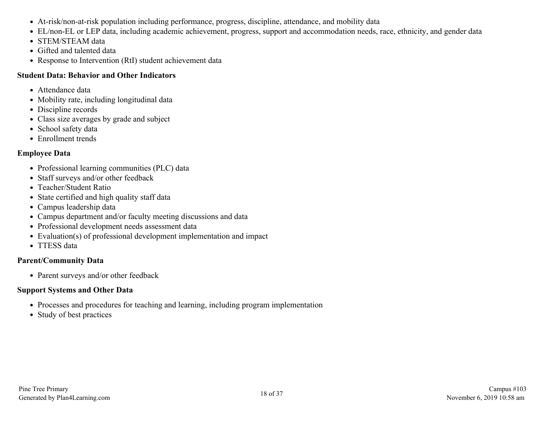- At-risk/non-at-risk population including performance, progress, discipline, attendance, and mobility data
- EL/non-EL or LEP data, including academic achievement, progress, support and accommodation needs, race, ethnicity, and gender data
- STEM/STEAM data
- Gifted and talented data
- Response to Intervention (RtI) student achievement data

#### **Student Data: Behavior and Other Indicators**

- Attendance data
- Mobility rate, including longitudinal data
- Discipline records
- Class size averages by grade and subject
- School safety data
- Enrollment trends

### **Employee Data**

- Professional learning communities (PLC) data
- Staff surveys and/or other feedback
- Teacher/Student Ratio
- State certified and high quality staff data
- Campus leadership data
- Campus department and/or faculty meeting discussions and data
- Professional development needs assessment data
- Evaluation(s) of professional development implementation and impact
- TTESS data

### **Parent/Community Data**

• Parent surveys and/or other feedback

### **Support Systems and Other Data**

- Processes and procedures for teaching and learning, including program implementation
- Study of best practices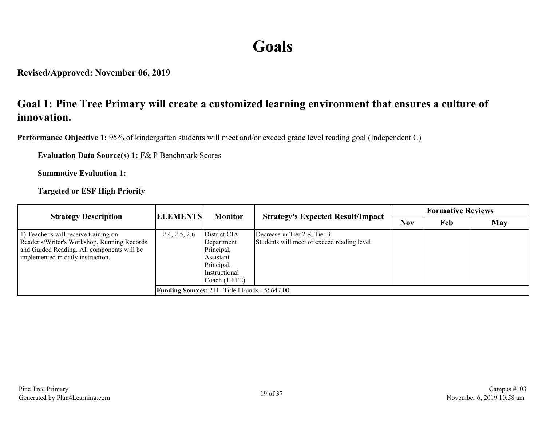# **Goals**

<span id="page-18-0"></span>**Revised/Approved: November 06, 2019**

## **Goal 1: Pine Tree Primary will create a customized learning environment that ensures a culture of innovation.**

**Performance Objective 1:** 95% of kindergarten students will meet and/or exceed grade level reading goal (Independent C)

**Evaluation Data Source(s) 1:** F& P Benchmark Scores

**Summative Evaluation 1:**

**Targeted or ESF High Priority**

| <b>Strategy Description</b>                                                                                                                                             | <b>ELEMENTS</b><br><b>Monitor</b> | <b>Strategy's Expected Result/Impact</b>                                                    | <b>Formative Reviews</b>                                                  |            |     |     |
|-------------------------------------------------------------------------------------------------------------------------------------------------------------------------|-----------------------------------|---------------------------------------------------------------------------------------------|---------------------------------------------------------------------------|------------|-----|-----|
|                                                                                                                                                                         |                                   |                                                                                             |                                                                           | <b>Nov</b> | Feb | May |
| 1) Teacher's will receive training on<br>Reader's/Writer's Workshop, Running Records<br>and Guided Reading. All components will be<br>implemented in daily instruction. | 2.4, 2.5, 2.6                     | District CIA<br>Department<br>Principal,<br>Assistant<br>Principal,<br><i>Instructional</i> | Decrease in Tier 2 & Tier 3<br>Students will meet or exceed reading level |            |     |     |
|                                                                                                                                                                         |                                   | $\vert$ Coach (1 FTE)<br><b>Funding Sources: 211- Title I Funds - 56647.00</b>              |                                                                           |            |     |     |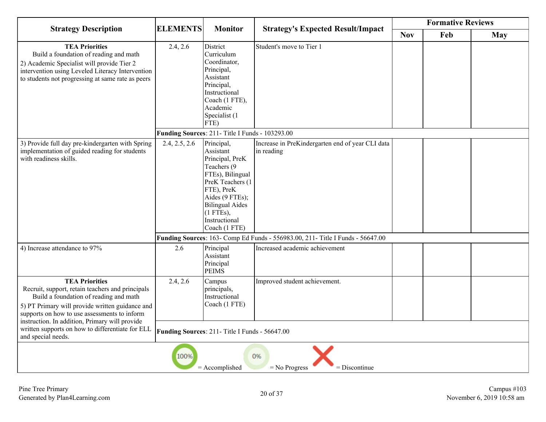| <b>Strategy Description</b>                                                                                                                                                                                            | <b>Monitor</b>                                                       |                                                                                                                                                                                                                | <b>Formative Reviews</b>                                                       |            |     |            |  |  |
|------------------------------------------------------------------------------------------------------------------------------------------------------------------------------------------------------------------------|----------------------------------------------------------------------|----------------------------------------------------------------------------------------------------------------------------------------------------------------------------------------------------------------|--------------------------------------------------------------------------------|------------|-----|------------|--|--|
|                                                                                                                                                                                                                        | <b>ELEMENTS</b>                                                      |                                                                                                                                                                                                                | <b>Strategy's Expected Result/Impact</b>                                       | <b>Nov</b> | Feb | <b>May</b> |  |  |
| <b>TEA Priorities</b><br>Build a foundation of reading and math<br>2) Academic Specialist will provide Tier 2<br>intervention using Leveled Literacy Intervention<br>to students not progressing at same rate as peers | 2.4, 2.6                                                             | District<br>Curriculum<br>Coordinator,<br>Principal,<br>Assistant<br>Principal,<br>Instructional<br>Coach (1 FTE),<br>Academic<br>Specialist (1<br>FTE)                                                        | Student's move to Tier 1                                                       |            |     |            |  |  |
|                                                                                                                                                                                                                        |                                                                      | Funding Sources: 211- Title I Funds - 103293.00                                                                                                                                                                |                                                                                |            |     |            |  |  |
| 3) Provide full day pre-kindergarten with Spring<br>implementation of guided reading for students<br>with readiness skills.                                                                                            | 2.4, 2.5, 2.6                                                        | Principal,<br>Assistant<br>Principal, PreK<br>Teachers (9)<br>FTEs), Bilingual<br>PreK Teachers (1<br>FTE), PreK<br>Aides (9 FTEs);<br><b>Bilingual Aides</b><br>$(1$ FTEs),<br>Instructional<br>Coach (1 FTE) | Increase in PreKindergarten end of year CLI data<br>in reading                 |            |     |            |  |  |
|                                                                                                                                                                                                                        |                                                                      |                                                                                                                                                                                                                | Funding Sources: 163- Comp Ed Funds - 556983.00, 211- Title I Funds - 56647.00 |            |     |            |  |  |
| 4) Increase attendance to 97%                                                                                                                                                                                          | 2.6                                                                  | Principal<br>Assistant<br>Principal<br><b>PEIMS</b>                                                                                                                                                            | Increased academic achievement                                                 |            |     |            |  |  |
| <b>TEA Priorities</b><br>Recruit, support, retain teachers and principals<br>Build a foundation of reading and math<br>5) PT Primary will provide written guidance and<br>supports on how to use assessments to inform | 2.4, 2.6                                                             | Campus<br>principals,<br>Instructional<br>Coach (1 FTE)                                                                                                                                                        | Improved student achievement.                                                  |            |     |            |  |  |
| instruction. In addition, Primary will provide<br>written supports on how to differentiate for ELL<br>and special needs.                                                                                               |                                                                      | Funding Sources: 211- Title I Funds - 56647.00                                                                                                                                                                 |                                                                                |            |     |            |  |  |
|                                                                                                                                                                                                                        | 100%<br>0%<br>$=$ No Progress<br>$=$ Discontinue<br>$=$ Accomplished |                                                                                                                                                                                                                |                                                                                |            |     |            |  |  |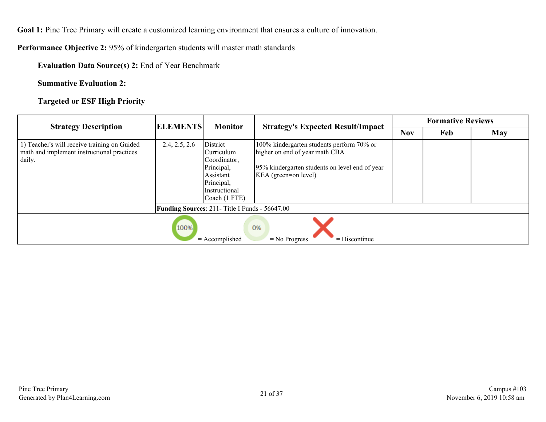**Performance Objective 2:** 95% of kindergarten students will master math standards

**Evaluation Data Source(s) 2:** End of Year Benchmark

**Summative Evaluation 2:**

**Targeted or ESF High Priority**

| <b>Strategy Description</b>                                                                          | <b>ELEMENTS</b><br><b>Monitor</b> |                                                                                                                    | <b>Formative Reviews</b>                                                                                                                              |            |     |            |  |  |
|------------------------------------------------------------------------------------------------------|-----------------------------------|--------------------------------------------------------------------------------------------------------------------|-------------------------------------------------------------------------------------------------------------------------------------------------------|------------|-----|------------|--|--|
|                                                                                                      |                                   |                                                                                                                    | <b>Strategy's Expected Result/Impact</b>                                                                                                              | <b>Nov</b> | Feb | <b>May</b> |  |  |
| 1) Teacher's will receive training on Guided<br>math and implement instructional practices<br>daily. | 2.4, 2.5, 2.6                     | District<br> Curriculum<br>Coordinator,<br>Principal,<br>Assistant<br>Principal,<br>Instructional<br>Coach (1 FTE) | 100% kindergarten students perform 70% or<br>higher on end of year math CBA<br>95% kindergarten students on level end of year<br>KEA (green=on level) |            |     |            |  |  |
|                                                                                                      |                                   | Funding Sources: 211- Title I Funds - 56647.00                                                                     |                                                                                                                                                       |            |     |            |  |  |
| 100%<br>0%<br>$=$ Accomplished<br>$=$ Discontinue<br>$=$ No Progress                                 |                                   |                                                                                                                    |                                                                                                                                                       |            |     |            |  |  |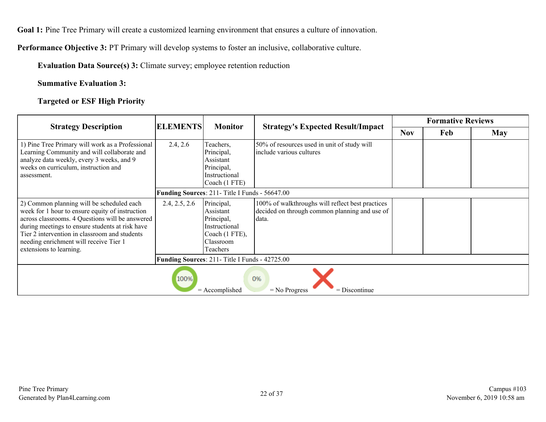**Performance Objective 3:** PT Primary will develop systems to foster an inclusive, collaborative culture.

**Evaluation Data Source(s) 3:** Climate survey; employee retention reduction

**Summative Evaluation 3:**

**Targeted or ESF High Priority**

| <b>Strategy Description</b>                                                                                                                                                                                                                                                                                              | <b>ELEMENTS</b> | <b>Monitor</b>                                                                                    | <b>Formative Reviews</b>                                                                                   |            |     |            |  |
|--------------------------------------------------------------------------------------------------------------------------------------------------------------------------------------------------------------------------------------------------------------------------------------------------------------------------|-----------------|---------------------------------------------------------------------------------------------------|------------------------------------------------------------------------------------------------------------|------------|-----|------------|--|
|                                                                                                                                                                                                                                                                                                                          |                 |                                                                                                   | <b>Strategy's Expected Result/Impact</b>                                                                   | <b>Nov</b> | Feb | <b>May</b> |  |
| 1) Pine Tree Primary will work as a Professional<br>Learning Community and will collaborate and<br>analyze data weekly, every 3 weeks, and 9<br>weeks on curriculum, instruction and<br>assessment.                                                                                                                      | 2.4, 2.6        | Teachers,<br>Principal,<br>Assistant<br>Principal,<br>Instructional<br>Coach (1 FTE)              | 50% of resources used in unit of study will<br>include various cultures                                    |            |     |            |  |
|                                                                                                                                                                                                                                                                                                                          |                 | Funding Sources: 211- Title I Funds - 56647.00                                                    |                                                                                                            |            |     |            |  |
| 2) Common planning will be scheduled each<br>week for 1 hour to ensure equity of instruction<br>across classrooms. 4 Questions will be answered<br>during meetings to ensure students at risk have<br>Tier 2 intervention in classroom and students<br>needing enrichment will receive Tier 1<br>extensions to learning. | 2.4, 2.5, 2.6   | Principal,<br>Assistant<br>Principal,<br>Instructional<br>Coach (1 FTE),<br>Classroom<br>Teachers | 100% of walkthroughs will reflect best practices<br>decided on through common planning and use of<br>data. |            |     |            |  |
|                                                                                                                                                                                                                                                                                                                          |                 | Funding Sources: 211- Title I Funds - 42725.00                                                    |                                                                                                            |            |     |            |  |
| 100%<br>0%<br>$=$ Accomplished<br>$=$ No Progress<br>$=$ Discontinue                                                                                                                                                                                                                                                     |                 |                                                                                                   |                                                                                                            |            |     |            |  |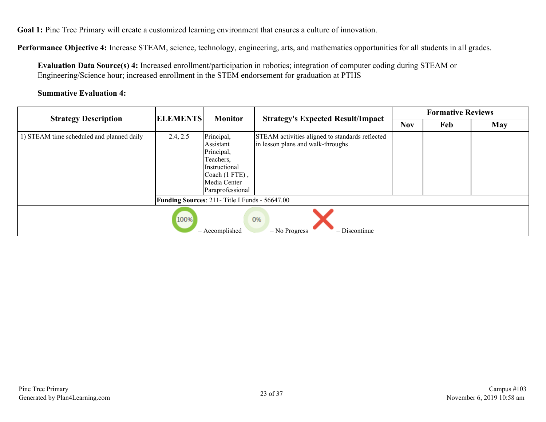**Performance Objective 4:** Increase STEAM, science, technology, engineering, arts, and mathematics opportunities for all students in all grades.

**Evaluation Data Source(s) 4:** Increased enrollment/participation in robotics; integration of computer coding during STEAM or Engineering/Science hour; increased enrollment in the STEM endorsement for graduation at PTHS

#### **Summative Evaluation 4:**

| <b>Strategy Description</b>                                          | <b>ELEMENTS</b><br><b>Monitor</b> |                                                                                                                                          | <b>Formative Reviews</b>                                                             |            |     |            |  |  |
|----------------------------------------------------------------------|-----------------------------------|------------------------------------------------------------------------------------------------------------------------------------------|--------------------------------------------------------------------------------------|------------|-----|------------|--|--|
|                                                                      |                                   |                                                                                                                                          | <b>Strategy's Expected Result/Impact</b>                                             | <b>Nov</b> | Feb | <b>May</b> |  |  |
| 1) STEAM time scheduled and planned daily                            | 2.4, 2.5                          | Principal,<br>Assistant<br>Principal,<br>Teachers.<br><i>Instructional</i><br>$\vert$ Coach (1 FTE),<br>Media Center<br>Paraprofessional | STEAM activities aligned to standards reflected<br>in lesson plans and walk-throughs |            |     |            |  |  |
|                                                                      |                                   | <b>Funding Sources: 211- Title I Funds - 56647.00</b>                                                                                    |                                                                                      |            |     |            |  |  |
| 100%<br>0%<br>$=$ Accomplished<br>$=$ Discontinue<br>$=$ No Progress |                                   |                                                                                                                                          |                                                                                      |            |     |            |  |  |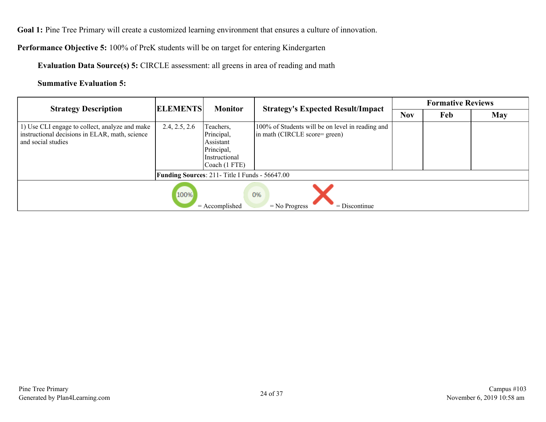**Performance Objective 5:** 100% of PreK students will be on target for entering Kindergarten

**Evaluation Data Source(s) 5:** CIRCLE assessment: all greens in area of reading and math

**Summative Evaluation 5:**

| <b>Strategy Description</b>                                                                                            | <b>ELEMENTS</b><br><b>Monitor</b> |                                                                                      | <b>Formative Reviews</b>                                                          |            |     |     |  |  |
|------------------------------------------------------------------------------------------------------------------------|-----------------------------------|--------------------------------------------------------------------------------------|-----------------------------------------------------------------------------------|------------|-----|-----|--|--|
|                                                                                                                        |                                   |                                                                                      | <b>Strategy's Expected Result/Impact</b>                                          | <b>Nov</b> | Feb | May |  |  |
| 1) Use CLI engage to collect, analyze and make<br>instructional decisions in ELAR, math, science<br>and social studies | 2.4, 2.5, 2.6                     | Teachers,<br>Principal,<br>Assistant<br>Principal,<br>Instructional<br>Coach (1 FTE) | 100% of Students will be on level in reading and<br>in math (CIRCLE score= green) |            |     |     |  |  |
|                                                                                                                        |                                   | <b>Funding Sources: 211-Title I Funds - 56647.00</b>                                 |                                                                                   |            |     |     |  |  |
| 100%<br>0%<br>$=$ Accomplished<br>$=$ No Progress<br>$=$ Discontinue                                                   |                                   |                                                                                      |                                                                                   |            |     |     |  |  |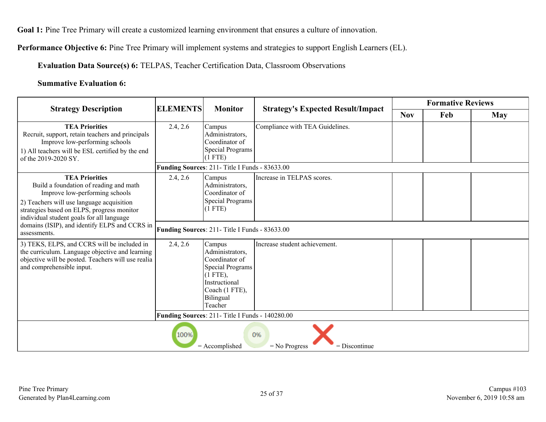**Performance Objective 6:** Pine Tree Primary will implement systems and strategies to support English Learners (EL).

**Evaluation Data Source(s) 6:** TELPAS, Teacher Certification Data, Classroom Observations

#### **Summative Evaluation 6:**

|                                                                                                                                                                                                                                           | <b>ELEMENTS</b><br><b>Monitor</b>              | <b>Strategy's Expected Result/Impact</b>                                                                                                 | <b>Formative Reviews</b>        |            |     |            |  |  |
|-------------------------------------------------------------------------------------------------------------------------------------------------------------------------------------------------------------------------------------------|------------------------------------------------|------------------------------------------------------------------------------------------------------------------------------------------|---------------------------------|------------|-----|------------|--|--|
| <b>Strategy Description</b>                                                                                                                                                                                                               |                                                |                                                                                                                                          |                                 | <b>Nov</b> | Feb | <b>May</b> |  |  |
| <b>TEA Priorities</b><br>Recruit, support, retain teachers and principals<br>Improve low-performing schools<br>1) All teachers will be ESL certified by the end<br>of the 2019-2020 SY.                                                   | 2.4, 2.6                                       | Campus<br>Administrators,<br>Coordinator of<br>Special Programs<br>(1 FTE)<br>Funding Sources: 211- Title I Funds - 83633.00             | Compliance with TEA Guidelines. |            |     |            |  |  |
| <b>TEA Priorities</b><br>Build a foundation of reading and math<br>Improve low-performing schools<br>2) Teachers will use language acquisition<br>strategies based on ELPS, progress monitor<br>individual student goals for all language | 2.4, 2.6                                       | Campus<br>Administrators,<br>Coordinator of<br>Special Programs<br>(1 FTE)                                                               | Increase in TELPAS scores.      |            |     |            |  |  |
| domains (ISIP), and identify ELPS and CCRS in<br>assessments.                                                                                                                                                                             | Funding Sources: 211- Title I Funds - 83633.00 |                                                                                                                                          |                                 |            |     |            |  |  |
| 3) TEKS, ELPS, and CCRS will be included in<br>the curriculum. Language objective and learning<br>objective will be posted. Teachers will use realia<br>and comprehensible input.                                                         | 2.4, 2.6                                       | Campus<br>Administrators,<br>Coordinator of<br>Special Programs<br>$(1$ FTE),<br>Instructional<br>Coach (1 FTE),<br>Bilingual<br>Teacher | Increase student achievement.   |            |     |            |  |  |
|                                                                                                                                                                                                                                           |                                                |                                                                                                                                          |                                 |            |     |            |  |  |
| Funding Sources: 211- Title I Funds - 140280.00<br>100%<br>0%<br>$=$ Accomplished<br>$=$ Discontinue<br>$=$ No Progress                                                                                                                   |                                                |                                                                                                                                          |                                 |            |     |            |  |  |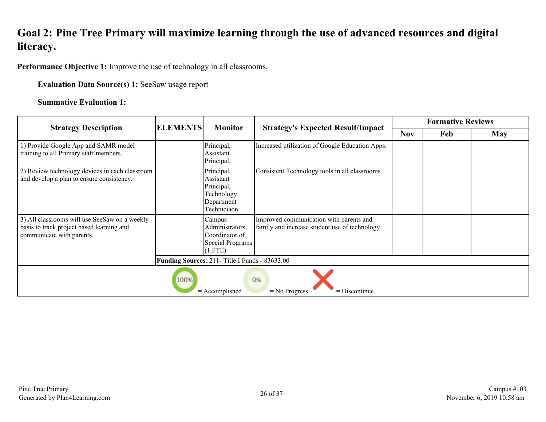## <span id="page-25-0"></span>**Goal 2: Pine Tree Primary will maximize learning through the use of advanced resources and digital literacy.**

**Performance Objective 1:** Improve the use of technology in all classrooms.

**Evaluation Data Source(s) 1:** SeeSaw usage report

#### **Summative Evaluation 1:**

| <b>Strategy Description</b>                                                                                             | <b>ELEMENTS</b><br><b>Monitor</b> | <b>Strategy's Expected Result/Impact</b>                                          | <b>Formative Reviews</b>                                                                 |            |     |            |  |  |
|-------------------------------------------------------------------------------------------------------------------------|-----------------------------------|-----------------------------------------------------------------------------------|------------------------------------------------------------------------------------------|------------|-----|------------|--|--|
|                                                                                                                         |                                   |                                                                                   |                                                                                          | <b>Nov</b> | Feb | <b>May</b> |  |  |
| 1) Provide Google App and SAMR model<br>training to all Primary staff members.                                          |                                   | Principal,<br>Assistant<br>Principal,                                             | Increased utilization of Google Education Apps.                                          |            |     |            |  |  |
| 2) Review technology devices in each classroom<br>and develop a plan to ensure consistency.                             |                                   | Principal,<br>Assistant<br>Principal,<br>Technology<br>Department<br>Techniciaon  | Consistent Technology tools in all classrooms                                            |            |     |            |  |  |
| 3) All classrooms will use SeeSaw on a weekly<br>basis to track project based learning and<br>communicate with parents. |                                   | Campus<br>Administrators.<br>Coordinator of<br><b>Special Programs</b><br>(1 FTE) | Improved communication with parents and<br>family and increase student use of technology |            |     |            |  |  |
|                                                                                                                         |                                   | Funding Sources: 211- Title I Funds - 83633.00                                    |                                                                                          |            |     |            |  |  |
| 100%<br>0%<br>$=$ Accomplished<br>$=$ No Progress<br>$=$ Discontinue                                                    |                                   |                                                                                   |                                                                                          |            |     |            |  |  |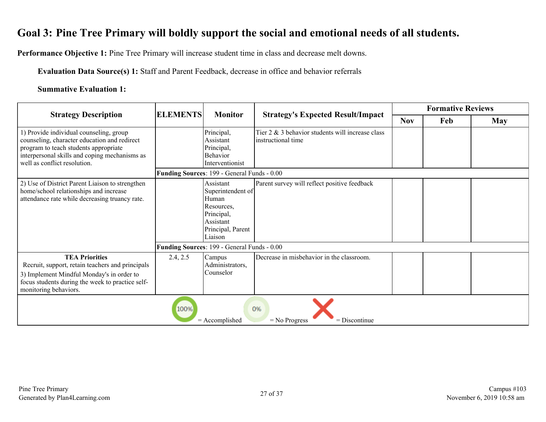## <span id="page-26-0"></span>**Goal 3: Pine Tree Primary will boldly support the social and emotional needs of all students.**

**Performance Objective 1:** Pine Tree Primary will increase student time in class and decrease melt downs.

**Evaluation Data Source(s) 1:** Staff and Parent Feedback, decrease in office and behavior referrals

#### **Summative Evaluation 1:**

|                                                                                                                                                                                                                   |          | <b>ELEMENTS</b><br><b>Monitor</b>                                                                                |                                                                        |            | <b>Formative Reviews</b> |            |  |  |
|-------------------------------------------------------------------------------------------------------------------------------------------------------------------------------------------------------------------|----------|------------------------------------------------------------------------------------------------------------------|------------------------------------------------------------------------|------------|--------------------------|------------|--|--|
| <b>Strategy Description</b>                                                                                                                                                                                       |          |                                                                                                                  | <b>Strategy's Expected Result/Impact</b>                               | <b>Nov</b> | Feb                      | <b>May</b> |  |  |
| 1) Provide individual counseling, group<br>counseling, character education and redirect<br>program to teach students appropriate<br>interpersonal skills and coping mechanisms as<br>well as conflict resolution. |          | Principal,<br>Assistant<br>Principal,<br>Behavior<br>Interventionist                                             | Tier 2 & 3 behavior students will increase class<br>instructional time |            |                          |            |  |  |
|                                                                                                                                                                                                                   |          | Funding Sources: 199 - General Funds - 0.00                                                                      |                                                                        |            |                          |            |  |  |
| 2) Use of District Parent Liaison to strengthen<br>home/school relationships and increase<br>attendance rate while decreasing truancy rate.                                                                       |          | Assistant<br>Superintendent of<br>Human<br>Resources,<br>Principal,<br>Assistant<br>Principal, Parent<br>Liaison | Parent survey will reflect positive feedback                           |            |                          |            |  |  |
|                                                                                                                                                                                                                   |          | Funding Sources: 199 - General Funds - 0.00                                                                      |                                                                        |            |                          |            |  |  |
| <b>TEA Priorities</b><br>Recruit, support, retain teachers and principals<br>3) Implement Mindful Monday's in order to<br>focus students during the week to practice self-<br>monitoring behaviors.               | 2.4, 2.5 | Campus<br>Administrators,<br>Counselor                                                                           | Decrease in misbehavior in the classroom.                              |            |                          |            |  |  |
| 100%<br>0%<br>$=$ Accomplished<br>$=$ Discontinue<br>$=$ No Progress                                                                                                                                              |          |                                                                                                                  |                                                                        |            |                          |            |  |  |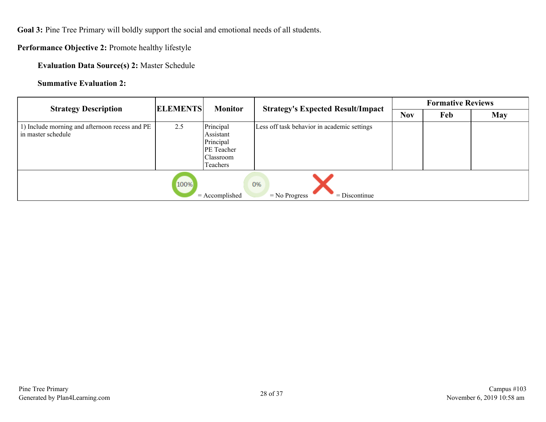**Goal 3:** Pine Tree Primary will boldly support the social and emotional needs of all students.

**Performance Objective 2:** Promote healthy lifestyle

**Evaluation Data Source(s) 2:** Master Schedule

**Summative Evaluation 2:**

| <b>Strategy Description</b>                                          | <b>ELEMENTS</b> | <b>Monitor</b>                                                                           | <b>Strategy's Expected Result/Impact</b>    | <b>Formative Reviews</b> |     |     |  |
|----------------------------------------------------------------------|-----------------|------------------------------------------------------------------------------------------|---------------------------------------------|--------------------------|-----|-----|--|
|                                                                      |                 |                                                                                          |                                             | <b>Nov</b>               | Feb | May |  |
| 1) Include morning and afternoon recess and PE<br>in master schedule | 2.5             | Principal<br>Assistant<br>Principal<br><b>PE</b> Teacher<br><b>Classroom</b><br>Teachers | Less off task behavior in academic settings |                          |     |     |  |
|                                                                      | 100%            | $=$ Accomplished                                                                         | 0%<br>$=$ Discontinue<br>$=$ No Progress    |                          |     |     |  |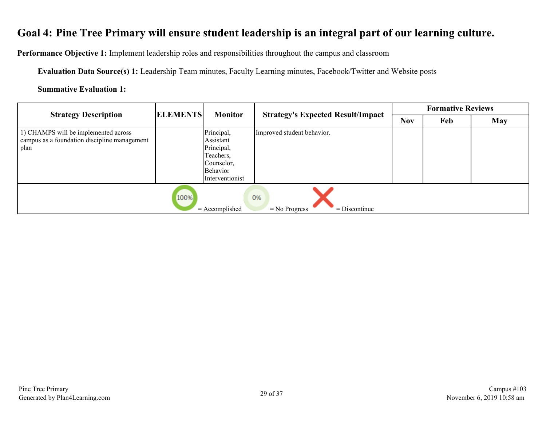## <span id="page-28-0"></span>**Goal 4: Pine Tree Primary will ensure student leadership is an integral part of our learning culture.**

**Performance Objective 1:** Implement leadership roles and responsibilities throughout the campus and classroom

**Evaluation Data Source(s) 1:** Leadership Team minutes, Faculty Learning minutes, Facebook/Twitter and Website posts

#### **Summative Evaluation 1:**

| <b>Strategy Description</b>                                                                  | <b>ELEMENTS</b> | <b>Monitor</b>                                                                                         | <b>Strategy's Expected Result/Impact</b> | <b>Formative Reviews</b> |     |            |  |  |  |
|----------------------------------------------------------------------------------------------|-----------------|--------------------------------------------------------------------------------------------------------|------------------------------------------|--------------------------|-----|------------|--|--|--|
|                                                                                              |                 |                                                                                                        |                                          | <b>Nov</b>               | Feb | <b>May</b> |  |  |  |
| 1) CHAMPS will be implemented across<br>campus as a foundation discipline management<br>plan |                 | Principal,<br>Assistant<br>Principal,<br>Teachers,<br>Counselor,<br><b>Behavior</b><br>Interventionist | Improved student behavior.               |                          |     |            |  |  |  |
| 100%<br>0%<br>$=$ Accomplished<br>$=$ Discontinue<br>$=$ No Progress                         |                 |                                                                                                        |                                          |                          |     |            |  |  |  |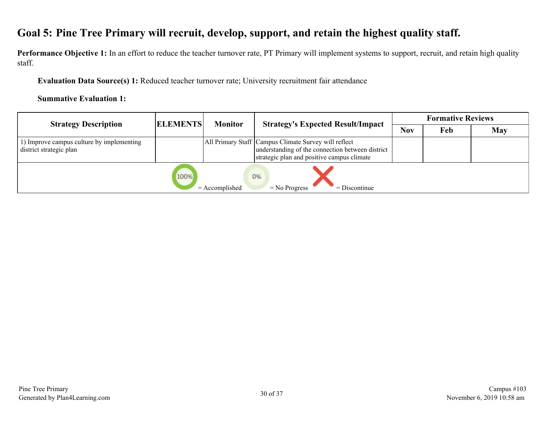## <span id="page-29-0"></span>**Goal 5: Pine Tree Primary will recruit, develop, support, and retain the highest quality staff.**

Performance Objective 1: In an effort to reduce the teacher turnover rate, PT Primary will implement systems to support, recruit, and retain high quality staff.

**Evaluation Data Source(s) 1:** Reduced teacher turnover rate; University recruitment fair attendance

#### **Summative Evaluation 1:**

| <b>Strategy Description</b>                                         | <b>ELEMENTS</b> | <b>Monitor</b>   | <b>Strategy's Expected Result/Impact</b>                                                                                                               | <b>Formative Reviews</b> |     |     |
|---------------------------------------------------------------------|-----------------|------------------|--------------------------------------------------------------------------------------------------------------------------------------------------------|--------------------------|-----|-----|
|                                                                     |                 |                  |                                                                                                                                                        | <b>Nov</b>               | Feb | May |
| ) Improve campus culture by implementing<br>district strategic plan |                 |                  | All Primary Staff Campus Climate Survey will reflect<br>understanding of the connection between district<br>strategic plan and positive campus climate |                          |     |     |
|                                                                     | 100%            | $=$ Accomplished | 0%<br>$=$ No Progress<br>$=$ Discontinue                                                                                                               |                          |     |     |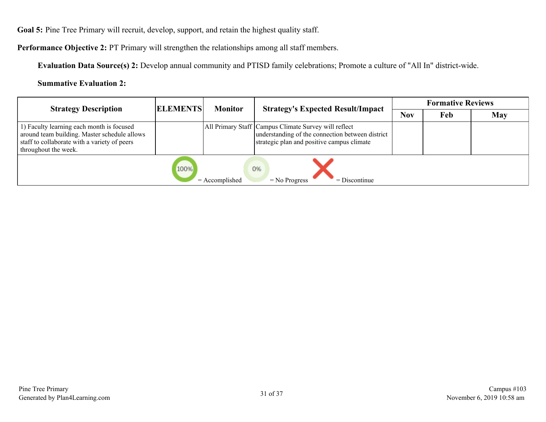**Goal 5:** Pine Tree Primary will recruit, develop, support, and retain the highest quality staff.

**Performance Objective 2:** PT Primary will strengthen the relationships among all staff members.

**Evaluation Data Source(s) 2:** Develop annual community and PTISD family celebrations; Promote a culture of "All In" district-wide.

**Summative Evaluation 2:**

| <b>Strategy Description</b>                                                                                                                                       | <b>ELEMENTS</b> | <b>Monitor</b>   | <b>Strategy's Expected Result/Impact</b>                                                                                                               | <b>Formative Reviews</b> |     |     |
|-------------------------------------------------------------------------------------------------------------------------------------------------------------------|-----------------|------------------|--------------------------------------------------------------------------------------------------------------------------------------------------------|--------------------------|-----|-----|
|                                                                                                                                                                   |                 |                  |                                                                                                                                                        | <b>Nov</b>               | Feb | May |
| 1) Faculty learning each month is focused<br>around team building. Master schedule allows<br>staff to collaborate with a variety of peers<br>throughout the week. |                 |                  | All Primary Staff Campus Climate Survey will reflect<br>understanding of the connection between district<br>strategic plan and positive campus climate |                          |     |     |
|                                                                                                                                                                   | 100%            | $=$ Accomplished | 0%<br>$=$ No Progress<br>$=$ Discontinue                                                                                                               |                          |     |     |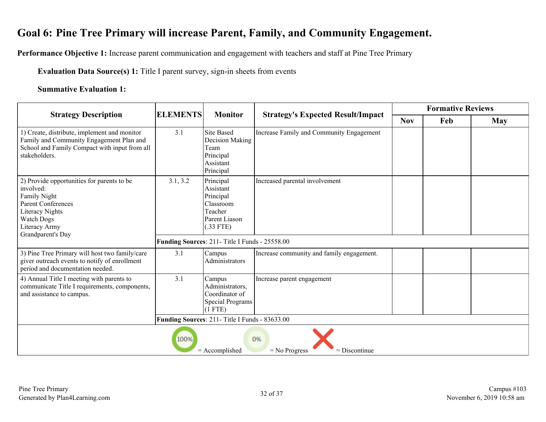## <span id="page-31-0"></span>**Goal 6: Pine Tree Primary will increase Parent, Family, and Community Engagement.**

**Performance Objective 1:** Increase parent communication and engagement with teachers and staff at Pine Tree Primary

**Evaluation Data Source(s) 1:** Title I parent survey, sign-in sheets from events

#### **Summative Evaluation 1:**

|                                                                                                                                                                             | <b>ELEMENTS</b><br><b>Monitor</b>              | <b>Strategy's Expected Result/Impact</b>                                                    |                                           | <b>Formative Reviews</b> |     |     |  |  |
|-----------------------------------------------------------------------------------------------------------------------------------------------------------------------------|------------------------------------------------|---------------------------------------------------------------------------------------------|-------------------------------------------|--------------------------|-----|-----|--|--|
| <b>Strategy Description</b>                                                                                                                                                 |                                                |                                                                                             |                                           |                          | Feb | May |  |  |
| 1) Create, distribute, implement and monitor<br>Family and Community Engagement Plan and<br>School and Family Compact with input from all<br>stakeholders.                  | 3.1                                            | <b>Site Based</b><br>Decision Making<br>Team<br>Principal<br>Assistant<br>Principal         | Increase Family and Community Engagement  |                          |     |     |  |  |
| 2) Provide opportunities for parents to be<br>involved:<br>Family Night<br><b>Parent Conferences</b><br>Literacy Nights<br>Watch Dogs<br>Literacy Army<br>Grandparent's Day | 3.1, 3.2                                       | Principal<br>Assistant<br>Principal<br>Classroom<br>Teacher<br>Parent Liason<br>$(.33$ FTE) | Increased parental involvement            |                          |     |     |  |  |
|                                                                                                                                                                             | Funding Sources: 211- Title I Funds - 25558.00 |                                                                                             |                                           |                          |     |     |  |  |
| 3) Pine Tree Primary will host two family/care<br>giver outreach events to notify of enrollment<br>period and documentation needed.                                         | 3.1                                            | Campus<br>Administrators                                                                    | Increase community and family engagement. |                          |     |     |  |  |
| 4) Annual Title I meeting with parents to<br>communicate Title I requirements, components,<br>and assistance to campus.                                                     | 3.1                                            | Campus<br>Administrators,<br>Coordinator of<br><b>Special Programs</b><br>$(1$ FTE)         | Increase parent engagement                |                          |     |     |  |  |
|                                                                                                                                                                             |                                                | Funding Sources: 211- Title I Funds - 83633.00                                              |                                           |                          |     |     |  |  |
| 100%<br>0%<br>$=$ Accomplished<br>$=$ No Progress<br>$=$ Discontinue                                                                                                        |                                                |                                                                                             |                                           |                          |     |     |  |  |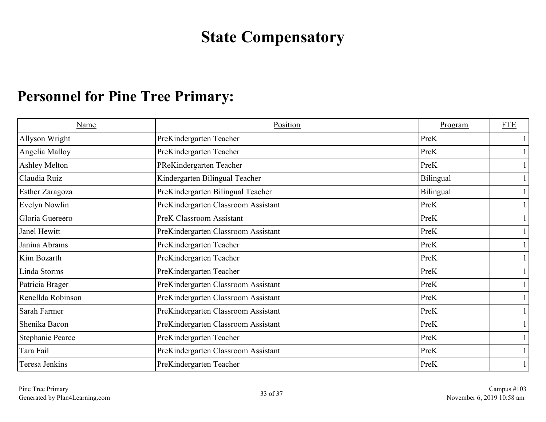## **State Compensatory**

## <span id="page-32-0"></span>**Personnel for Pine Tree Primary:**

| Name                 | Position                            | Program   | <b>FTE</b>   |
|----------------------|-------------------------------------|-----------|--------------|
| Allyson Wright       | PreKindergarten Teacher             | PreK      |              |
| Angelia Malloy       | PreKindergarten Teacher             | PreK      |              |
| <b>Ashley Melton</b> | PReKindergarten Teacher             | PreK      |              |
| Claudia Ruiz         | Kindergarten Bilingual Teacher      | Bilingual |              |
| Esther Zaragoza      | PreKindergarten Bilingual Teacher   | Bilingual |              |
| Evelyn Nowlin        | PreKindergarten Classroom Assistant | PreK      | $\mathbf{1}$ |
| Gloria Guereero      | <b>PreK Classroom Assistant</b>     | PreK      |              |
| Janel Hewitt         | PreKindergarten Classroom Assistant | PreK      | $\mathbf{1}$ |
| Janina Abrams        | PreKindergarten Teacher             | PreK      | $\mathbf{1}$ |
| Kim Bozarth          | PreKindergarten Teacher             | PreK      | $\mathbf{1}$ |
| Linda Storms         | PreKindergarten Teacher             | PreK      | $\mathbf{1}$ |
| Patricia Brager      | PreKindergarten Classroom Assistant | PreK      |              |
| Renellda Robinson    | PreKindergarten Classroom Assistant | PreK      |              |
| Sarah Farmer         | PreKindergarten Classroom Assistant | PreK      |              |
| Shenika Bacon        | PreKindergarten Classroom Assistant | PreK      |              |
| Stephanie Pearce     | PreKindergarten Teacher             | PreK      |              |
| Tara Fail            | PreKindergarten Classroom Assistant | PreK      |              |
| Teresa Jenkins       | PreKindergarten Teacher             | PreK      |              |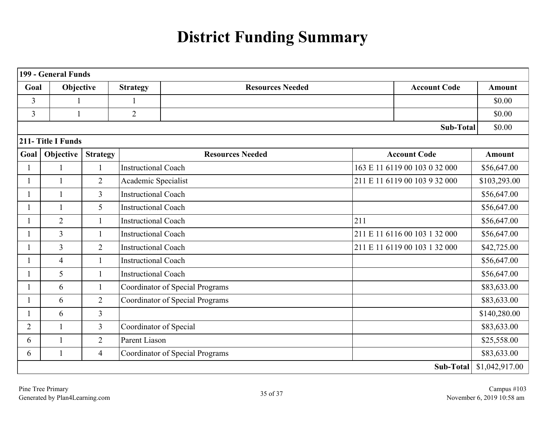# **District Funding Summary**

<span id="page-34-0"></span>

|                | 199 - General Funds |                 |                            |                                        |                               |                               |                |  |  |  |
|----------------|---------------------|-----------------|----------------------------|----------------------------------------|-------------------------------|-------------------------------|----------------|--|--|--|
| Goal           | Objective           |                 | <b>Strategy</b>            | <b>Resources Needed</b>                |                               | <b>Account Code</b>           | <b>Amount</b>  |  |  |  |
| 3              | 1                   |                 |                            |                                        |                               | \$0.00                        |                |  |  |  |
| $\overline{3}$ | 1                   |                 | $\overline{2}$             |                                        |                               |                               | \$0.00         |  |  |  |
|                |                     |                 |                            |                                        |                               | <b>Sub-Total</b>              | \$0.00         |  |  |  |
|                | 211-Title I Funds   |                 |                            |                                        |                               |                               |                |  |  |  |
| Goal           | Objective           | <b>Strategy</b> |                            | <b>Resources Needed</b>                |                               | <b>Account Code</b>           | <b>Amount</b>  |  |  |  |
|                | $\mathbf{1}$        | $\mathbf{1}$    | <b>Instructional Coach</b> |                                        |                               | 163 E 11 6119 00 103 0 32 000 | \$56,647.00    |  |  |  |
|                | $\mathbf{1}$        | $\overline{2}$  | Academic Specialist        |                                        |                               | 211 E 11 6119 00 103 9 32 000 | \$103,293.00   |  |  |  |
|                | $\mathbf{1}$        | $\overline{3}$  | <b>Instructional Coach</b> |                                        |                               |                               | \$56,647.00    |  |  |  |
|                | $\mathbf{1}$        | 5               | <b>Instructional Coach</b> |                                        |                               |                               | \$56,647.00    |  |  |  |
|                | $\overline{2}$      | $\mathbf{1}$    | <b>Instructional Coach</b> |                                        | 211                           |                               | \$56,647.00    |  |  |  |
|                | $\overline{3}$      | $\mathbf{1}$    | <b>Instructional Coach</b> |                                        |                               | 211 E 11 6116 00 103 1 32 000 | \$56,647.00    |  |  |  |
|                | $\overline{3}$      | $\overline{2}$  | <b>Instructional Coach</b> |                                        | 211 E 11 6119 00 103 1 32 000 | \$42,725.00                   |                |  |  |  |
|                | $\overline{4}$      | $\mathbf{1}$    | <b>Instructional Coach</b> |                                        |                               |                               | \$56,647.00    |  |  |  |
|                | 5                   | $\mathbf{1}$    | <b>Instructional Coach</b> |                                        |                               |                               | \$56,647.00    |  |  |  |
|                | 6                   | $\mathbf{1}$    |                            | <b>Coordinator of Special Programs</b> |                               |                               | \$83,633.00    |  |  |  |
|                | 6                   | $\overline{2}$  |                            | <b>Coordinator of Special Programs</b> |                               |                               | \$83,633.00    |  |  |  |
|                | 6                   | $\overline{3}$  |                            |                                        |                               |                               | \$140,280.00   |  |  |  |
| $\overline{2}$ | $\mathbf{1}$        | $\overline{3}$  | Coordinator of Special     |                                        |                               |                               | \$83,633.00    |  |  |  |
| 6              | $\mathbf{1}$        | $\overline{2}$  | Parent Liason              |                                        |                               |                               | \$25,558.00    |  |  |  |
| 6              | $\mathbf{1}$        | $\overline{4}$  |                            | <b>Coordinator of Special Programs</b> |                               |                               |                |  |  |  |
|                |                     |                 |                            |                                        |                               | Sub-Total                     | \$1,042,917.00 |  |  |  |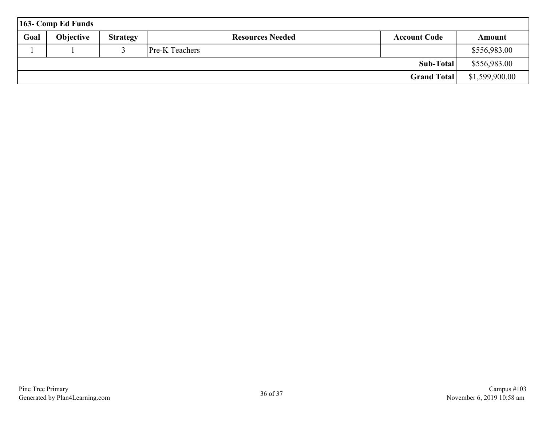|      | $163$ - Comp Ed Funds |                 |                         |                     |                |
|------|-----------------------|-----------------|-------------------------|---------------------|----------------|
| Goal | <b>Objective</b>      | <b>Strategy</b> | <b>Resources Needed</b> | <b>Account Code</b> | Amount         |
|      |                       |                 | <b>Pre-K</b> Teachers   |                     | \$556,983.00   |
|      |                       |                 |                         | Sub-Total           | \$556,983.00   |
|      |                       |                 |                         | <b>Grand Total</b>  | \$1,599,900.00 |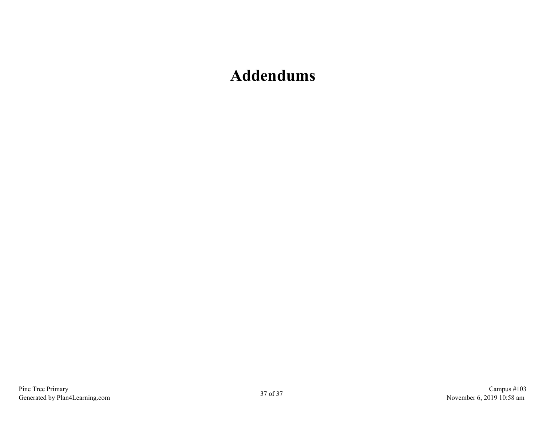## <span id="page-36-0"></span>**Addendums**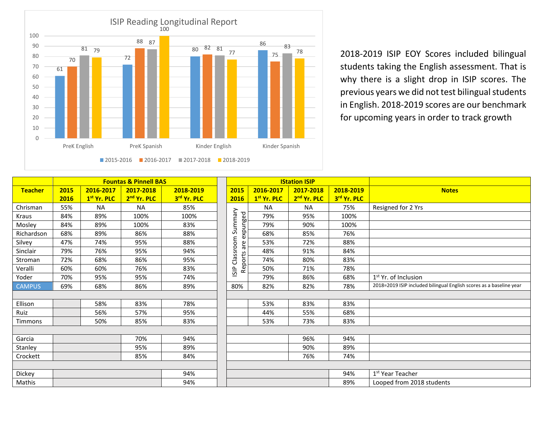

2018-2019 ISIP EOY Scores included bilingual students taking the English assessment. That is why there is a slight drop in ISIP scores. The previous years we did not test bilingual students in English. 2018-2019 scores are our benchmark for upcoming years in order to track growth

|                | <b>Fountas &amp; Pinnell BAS</b> |                         |                         |             |             |                         | <b>IStation ISIP</b>    |             |                                                                     |
|----------------|----------------------------------|-------------------------|-------------------------|-------------|-------------|-------------------------|-------------------------|-------------|---------------------------------------------------------------------|
| <b>Teacher</b> | 2015                             | 2016-2017               | 2017-2018               | 2018-2019   | 2015        | 2016-2017               | 2017-2018               | 2018-2019   | <b>Notes</b>                                                        |
|                | 2016                             | 1 <sup>st</sup> Yr. PLC | 2 <sup>nd</sup> Yr. PLC | 3rd Yr. PLC | 2016        | 1 <sup>st</sup> Yr. PLC | 2 <sup>nd</sup> Yr. PLC | 3rd Yr. PLC |                                                                     |
| Chrisman       | 55%                              | <b>NA</b>               | <b>NA</b>               | 85%         |             | <b>NA</b>               | <b>NA</b>               | 75%         | Resigned for 2 Yrs                                                  |
| Kraus          | 84%                              | 89%                     | 100%                    | 100%        |             | 79%                     | 95%                     | 100%        |                                                                     |
| Mosley         | 84%                              | 89%                     | 100%                    | 83%         | Summary     | 79%                     | 90%                     | 100%        |                                                                     |
| Richardson     | 68%                              | 89%                     | 86%                     | 88%         | expunged    | 68%                     | 85%                     | 76%         |                                                                     |
| Silvey         | 47%                              | 74%                     | 95%                     | 88%         | are         | 53%                     | 72%                     | 88%         |                                                                     |
| Sinclair       | 79%                              | 76%                     | 95%                     | 94%         | Classroom   | 48%                     | 91%                     | 84%         |                                                                     |
| Stroman        | 72%                              | 68%                     | 86%                     | 95%         | Reports     | 74%                     | 80%                     | 83%         |                                                                     |
| Veralli        | 60%                              | 60%                     | 76%                     | 83%         | <b>ISIP</b> | 50%                     | 71%                     | 78%         |                                                                     |
| Yoder          | 70%                              | 95%                     | 95%                     | 74%         |             | 79%                     | 86%                     | 68%         | 1 <sup>st</sup> Yr. of Inclusion                                    |
| <b>CAMPUS</b>  | 69%                              | 68%                     | 86%                     | 89%         | 80%         | 82%                     | 82%                     | 78%         | 2018=2019 ISIP included bilingual English scores as a baseline year |
|                |                                  |                         |                         |             |             |                         |                         |             |                                                                     |
| Ellison        |                                  | 58%                     | 83%                     | 78%         |             | 53%                     | 83%                     | 83%         |                                                                     |
| Ruiz           |                                  | 56%                     | 57%                     | 95%         |             | 44%                     | 55%                     | 68%         |                                                                     |
| Timmons        |                                  | 50%                     | 85%                     | 83%         |             | 53%                     | 73%                     | 83%         |                                                                     |
|                |                                  |                         |                         |             |             |                         |                         |             |                                                                     |
| Garcia         |                                  |                         | 70%                     | 94%         |             |                         | 96%                     | 94%         |                                                                     |
| Stanley        |                                  |                         | 95%                     | 89%         |             |                         | 90%                     | 89%         |                                                                     |
| Crockett       |                                  |                         | 85%                     | 84%         |             |                         | 76%                     | 74%         |                                                                     |
|                |                                  |                         |                         |             |             |                         |                         |             |                                                                     |
| Dickey         |                                  |                         |                         | 94%         |             |                         |                         | 94%         | 1 <sup>st</sup> Year Teacher                                        |
| Mathis         |                                  |                         |                         | 94%         |             |                         |                         | 89%         | Looped from 2018 students                                           |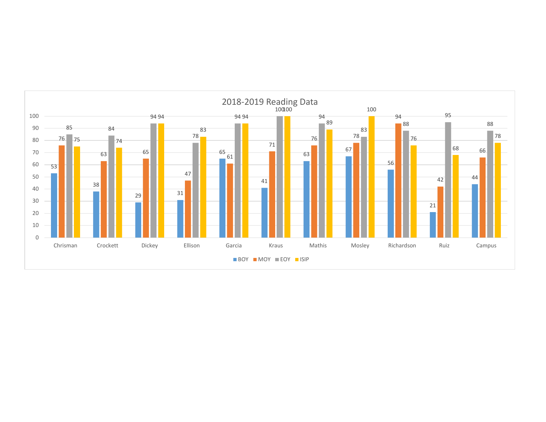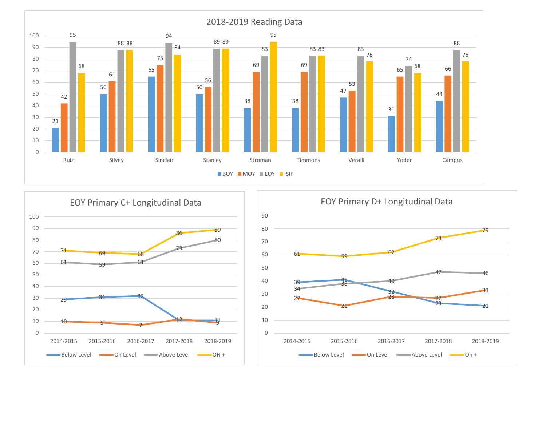



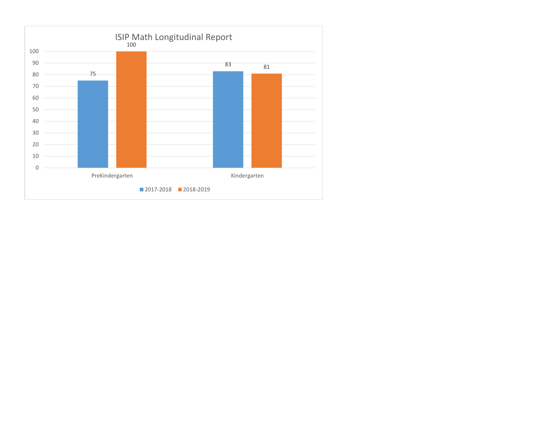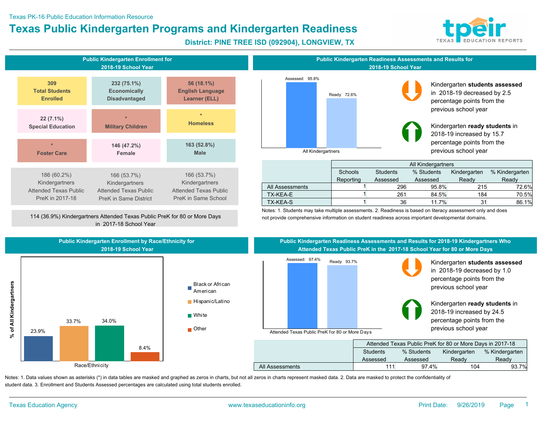#### Texas PK-16 Public Education Information Resource

## **Texas Public Kindergarten Programs and Kindergarten Readiness**



**District: PINE TREE ISD (092904), LONGVIEW, TX**



114 (36.9%) Kindergartners Attended Texas Public PreK for 80 or More Days in 2017-18 School Year



#### Kindergarten **students assessed** in 2018-19 decreased by 2.5 percentage points from the previous school year

Kindergarten **ready students** in 2018-19 increased by 15.7 percentage points from the previous school year

|                 |                |                 | All Kindergartners |              |                |
|-----------------|----------------|-----------------|--------------------|--------------|----------------|
|                 | <b>Schools</b> | <b>Students</b> | % Students         | Kindergarten | % Kindergarten |
|                 | Reporting      | Assessed        | Assessed           | Ready        | Ready          |
| All Assessments |                | 296             | 95.8%              | 215          | 72.6%          |
| TX-KEA-E        |                | 261             | 84.5%              | 184          | 70.5%          |
| TX-KEA-S        |                | 36              | 11.7%              | 31           | 86.1%          |

Notes: 1. Students may take multiple assessments. 2. Readiness is based on literacy assessment only and does not provide comprehensive information on student readiness across important developmental domains.







#### **Public Kindergarten Readiness Assessments and Results for 2018-19 Kindergartners Who Attended Texas Public PreK in the 2017-18 School Year for 80 or More Days**



Kindergarten **students assessed** in 2018-19 decreased by 1.0 percentage points from the previous school year

Kindergarten **ready students** in 2018-19 increased by 24.5 percentage points from the

|                 |          | Attended Texas Public PreK for 80 or More Days in 2017-18 |              |                |
|-----------------|----------|-----------------------------------------------------------|--------------|----------------|
|                 | Students | % Students                                                | Kindergarten | % Kindergarten |
|                 | Assessed | Assessed                                                  | Ready        | Ready          |
| All Assessments | 111      | 97.4%                                                     | 104          | 93.7%          |

Notes: 1. Data values shown as asterisks (\*) in data tables are masked and graphed as zeros in charts, but not all zeros in charts represent masked data. 2. Data are masked to protect the confidentiality of student data. 3. Enrollment and Students Assessed percentages are calculated using total students enrolled.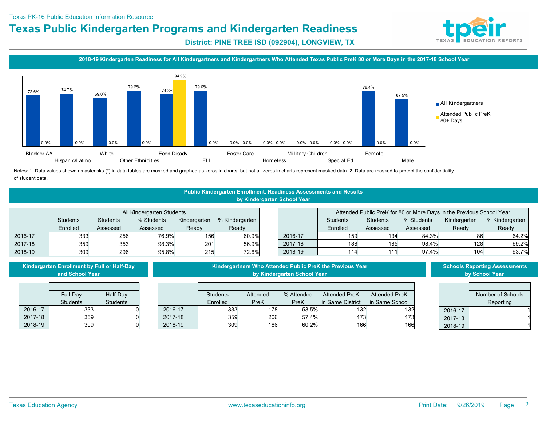

**District: PINE TREE ISD (092904), LONGVIEW, TX**

#### **2018-19 Kindergarten Readiness for All Kindergartners and Kindergartners Who Attended Texas Public PreK 80 or More Days in the 2017-18 School Year**



Notes: 1. Data values shown as asterisks (\*) in data tables are masked and graphed as zeros in charts, but not all zeros in charts represent masked data. 2. Data are masked to protect the confidentiality of student data.

#### **Public Kindergarten Enrollment, Readiness Assessments and Results by Kindergarten School Year**

|         |                 |                                                                 | All Kindergarten Students |       |       |  |         |          |                 |            | Attended Public PreK for 80 or More Days in the Previous School Year |                |
|---------|-----------------|-----------------------------------------------------------------|---------------------------|-------|-------|--|---------|----------|-----------------|------------|----------------------------------------------------------------------|----------------|
|         | <b>Students</b> | % Students<br>Kindergarten<br>% Kindergarten<br><b>Students</b> |                           |       |       |  |         | Students | <b>Students</b> | % Students | Kindergarten                                                         | % Kindergarten |
|         | Enrolled        | Assessed                                                        | Assessed                  | Readv | Readv |  |         | Enrolled | Assessed        | Assessed   | Readv                                                                | Readv          |
| 2016-17 | 333             | 256                                                             | 76.9%                     | 156   | 60.9% |  | 2016-17 | 159      | 134             | 84.3%      | 86                                                                   | 64.2%          |
| 2017-18 | 359             | 353                                                             | 98.3%                     | 201   | 56.9% |  | 2017-18 | 188      | 185             | 98.4%      | 128                                                                  | 69.2%          |
| 2018-19 | 309             | 296                                                             | 95.8%                     | 215   | 72.6% |  | 2018-19 | 114      |                 | 97.4%      | 104                                                                  | 93.7%          |

|         | Kindergarten Enrollment by Full or Half-Day<br>and School Year |                 |         |                 |             | by Kindergarten School Year | Kindergartners Who Attended Public PreK the Previous Year |                      |         | <b>Schools Reporting Assessments</b><br>by School Year |
|---------|----------------------------------------------------------------|-----------------|---------|-----------------|-------------|-----------------------------|-----------------------------------------------------------|----------------------|---------|--------------------------------------------------------|
|         | Full-Day                                                       | Half-Day        |         | <b>Students</b> | Attended    | % Attended                  | <b>Attended PreK</b>                                      | <b>Attended PreK</b> |         | Number of Schools                                      |
|         | <b>Students</b>                                                | <b>Students</b> |         | Enrolled        | <b>PreK</b> | PreK                        | in Same District                                          | in Same School       |         | Reporting                                              |
| 2016-17 | 333                                                            |                 | 2016-17 | 333             | 178         | 53.5%                       | 132                                                       | 132                  | 2016-17 |                                                        |
| 2017-18 | 359                                                            |                 | 2017-18 | 359             | 206         | 57.4%                       | 173                                                       | 173                  | 2017-18 |                                                        |
| 2018-19 | 309                                                            |                 | 2018-19 | 309             | 186         | 60.2%                       | 166                                                       | 166                  | 2018-19 |                                                        |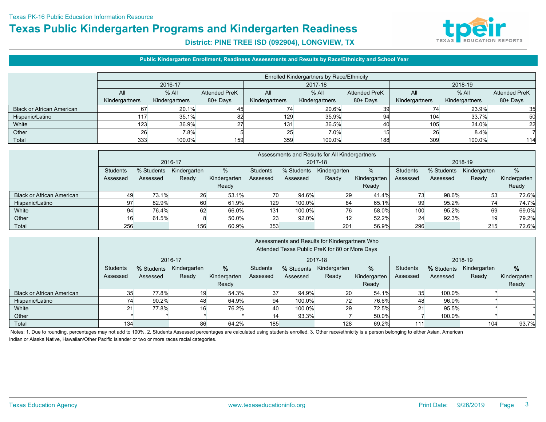

#### **District: PINE TREE ISD (092904), LONGVIEW, TX**

#### **Public Kindergarten Enrollment, Readiness Assessments and Results by Race/Ethnicity and School Year**

|                                  |                | <b>Enrolled Kindergartners by Race/Ethnicity</b> |                      |                |                |                      |                |                |                      |  |  |  |  |  |
|----------------------------------|----------------|--------------------------------------------------|----------------------|----------------|----------------|----------------------|----------------|----------------|----------------------|--|--|--|--|--|
|                                  |                | 2016-17                                          |                      |                | 2017-18        |                      |                | 2018-19        |                      |  |  |  |  |  |
|                                  | All            | $%$ All                                          | <b>Attended PreK</b> | All            | $%$ All        | <b>Attended PreK</b> | All            | $%$ All        | <b>Attended PreK</b> |  |  |  |  |  |
|                                  | Kindergartners | Kindergartners                                   | 80+ Days             | Kindergartners | Kindergartners | 80+ Days             | Kindergartners | Kindergartners | 80+ Days             |  |  |  |  |  |
| <b>Black or African American</b> | 67             | 20.1%                                            | 45                   | 74             | 20.6%          |                      |                | 23.9%          | 35                   |  |  |  |  |  |
| Hispanic/Latino                  | 117            | 35.1%                                            | 82                   | 129            | 35.9%          | 94                   | 104            | 33.7%          | 50                   |  |  |  |  |  |
| White                            | 123            | 36.9%                                            | ົ                    | 131            | 36.5%          | 40                   | 105            | 34.0%          | 22                   |  |  |  |  |  |
| Other                            | 26             | 7.8%                                             |                      | 25             | 7.0%           |                      | 26             | 8.4%           |                      |  |  |  |  |  |
| Total                            | 333            | 100.0%                                           | 159                  | 359            | 100.0%         | 188                  | 309            | 100.0%         | 114                  |  |  |  |  |  |

|                                  |          | Assessments and Results for All Kindergartners |              |              |                 |            |              |              |                 |            |              |              |  |  |
|----------------------------------|----------|------------------------------------------------|--------------|--------------|-----------------|------------|--------------|--------------|-----------------|------------|--------------|--------------|--|--|
|                                  |          |                                                | 2016-17      |              |                 |            | 2017-18      |              |                 | 2018-19    |              |              |  |  |
|                                  | Students | % Students                                     | Kindergarten | %            | <b>Students</b> | % Students | Kindergarten | %            | <b>Students</b> | % Students | Kindergarten | %            |  |  |
|                                  | Assessed | Assessed                                       | Ready        | Kindergarten | Assessed        | Assessed   | Ready        | Kindergarten | Assessed        | Assessed   | Ready        | Kindergarten |  |  |
|                                  |          |                                                |              | Ready        |                 |            |              | Ready        |                 |            |              | Ready        |  |  |
| <b>Black or African American</b> | 49       | 73.1%                                          | 26           | 53.1%        | 70              | 94.6%      | 29           | 41.4%        | 73              | 98.6%      | 53           | 72.6%        |  |  |
| Hispanic/Latino                  | 97       | 82.9%                                          | 60           | 61.9%        | 129             | 100.0%     | 84           | 65.1%        | 99              | 95.2%      | 74           | 74.7%        |  |  |
| White                            | 94       | 76.4%                                          | 62           | 66.0%        | 131             | 100.0%     | 76           | 58.0%        | 100             | 95.2%      | 69           | 69.0%        |  |  |
| Other                            | 16       | 61.5%                                          |              | 50.0%        | 23              | 92.0%      | 12           | 52.2%        | 24              | 92.3%      | 19           | 79.2%        |  |  |
| Total                            | 256      |                                                | 156          | 60.9%        | 353             |            | 201          | 56.9%        | 296             |            | 215          | 72.6%        |  |  |

|                                  |          |            |              |              | Assessments and Results for Kindergartners Who |                    |                                                |              |          |            |              |              |
|----------------------------------|----------|------------|--------------|--------------|------------------------------------------------|--------------------|------------------------------------------------|--------------|----------|------------|--------------|--------------|
|                                  |          |            |              |              |                                                |                    | Attended Texas Public PreK for 80 or More Days |              |          |            |              |              |
|                                  |          |            | 2016-17      |              |                                                | 2018-19<br>2017-18 |                                                |              |          |            |              |              |
|                                  | Students | % Students | Kindergarten | $\%$         | Students                                       | % Students         | Kindergarten                                   | $\%$         | Students | % Students | Kindergarten | %            |
|                                  | Assessed | Assessed   | Ready        | Kindergarten | Assessed                                       | Assessed           | Ready                                          | Kindergarten | Assessed | Assessed   | Ready        | Kindergarten |
|                                  |          |            |              | Ready        |                                                |                    |                                                | Ready        |          |            |              | Ready        |
| <b>Black or African American</b> | 35       | 77.8%      | 19           | 54.3%        | 37                                             | 94.9%              | 20                                             | 54.1%        | 35       | 100.0%     |              |              |
| Hispanic/Latino                  | 74       | 90.2%      | 48           | 64.9%        | 94                                             | 100.0%             | 72                                             | 76.6%        | 48       | 96.0%      |              |              |
| White                            | 21       | 77.8%      | 16           | 76.2%        | 40                                             | 100.0%             | 29                                             | 72.5%        | 21       | 95.5%      |              |              |
| Other                            |          |            |              |              | 14                                             | 93.3%              |                                                | 50.0%        |          | 100.0%     |              |              |
| Total                            | 134      |            | 86           | 64.2%        | 185                                            |                    | 128                                            | 69.2%        | 111      |            | 104          | 93.7%        |

Notes: 1. Due to rounding, percentages may not add to 100%. 2. Students Assessed percentages are calculated using students enrolled. 3. Other race/ethnicity is a person belonging to either Asian, American Indian or Alaska Native, Hawaiian/Other Pacific Islander or two or more races racial categories.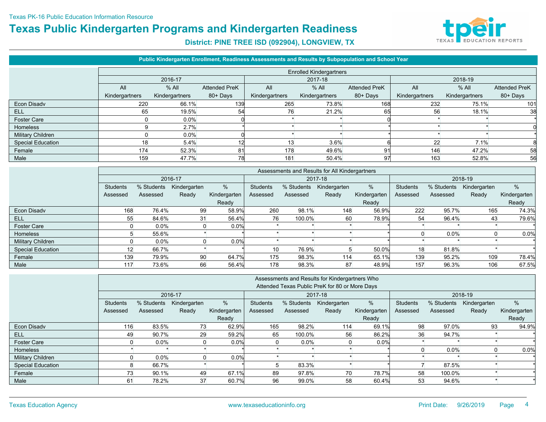

|                          |                |                |                      | Public Kindergarten Enrollment, Readiness Assessments and Results by Subpopulation and School Year |                                |                      |                |                |                      |
|--------------------------|----------------|----------------|----------------------|----------------------------------------------------------------------------------------------------|--------------------------------|----------------------|----------------|----------------|----------------------|
|                          |                |                |                      |                                                                                                    | <b>Enrolled Kindergartners</b> |                      |                |                |                      |
|                          |                | 2016-17        |                      |                                                                                                    | 2017-18                        |                      |                | 2018-19        |                      |
|                          | All            | $%$ All        | <b>Attended PreK</b> | All                                                                                                | $%$ All                        | <b>Attended PreK</b> | All            | $%$ All        | <b>Attended PreK</b> |
|                          | Kindergartners | Kindergartners | 80+ Days             | Kindergartners                                                                                     | Kindergartners                 | 80+Days              | Kindergartners | Kindergartners | 80+ Days             |
| Econ Disadv              | 220            | 66.1%          | 139                  | 265                                                                                                | 73.8%                          | 168                  | 232            | 75.1%          | 101                  |
| <b>ELL</b>               | 65             | 19.5%          | 54                   | 76                                                                                                 | 21.2%                          | 65                   | 56             | 18.1%          | 38                   |
| <b>Foster Care</b>       |                | $0.0\%$        |                      |                                                                                                    |                                |                      |                |                |                      |
| <b>Homeless</b>          |                | 2.7%           |                      |                                                                                                    |                                |                      |                |                |                      |
| Military Children        |                | $0.0\%$        |                      |                                                                                                    |                                |                      |                |                |                      |
| <b>Special Education</b> | 18             | 5.4%           |                      | 13                                                                                                 | 3.6%                           |                      | 22             | 7.1%           |                      |
| Female                   | 174            | 52.3%          | 81                   | 178                                                                                                | 49.6%                          | 91                   | 146            | 47.2%          | 58                   |
| Male                     | 159            | 47.7%          | 78                   | 181                                                                                                | 50.4%                          | 97                   | 163            | 52.8%          | 56                   |

|                          |                 |            |              |              |                 | Assessments and Results for All Kindergartners |              |              |                 |            |              |              |  |  |
|--------------------------|-----------------|------------|--------------|--------------|-----------------|------------------------------------------------|--------------|--------------|-----------------|------------|--------------|--------------|--|--|
|                          |                 |            | 2016-17      |              |                 |                                                | 2017-18      |              |                 | 2018-19    |              |              |  |  |
|                          | Students        | % Students | Kindergarten | %            | <b>Students</b> | % Students                                     | Kindergarten | %            | <b>Students</b> | % Students | Kindergarten | %            |  |  |
|                          | Assessed        | Assessed   | Ready        | Kindergarten | Assessed        | Assessed                                       | Ready        | Kindergarten | Assessed        | Assessed   | Ready        | Kindergarten |  |  |
|                          |                 |            |              | Ready        |                 |                                                |              | Ready        |                 |            |              | Ready        |  |  |
| Econ Disady              | 168             | 76.4%      | 99           | 58.9%        | 260             | 98.1%                                          | 148          | 56.9%        | 222             | 95.7%      | 165          | 74.3%        |  |  |
| ELL                      | 55              | 84.6%      | 31           | 56.4%        | 76              | 100.0%                                         | 60           | 78.9%        | 54              | 96.4%      | 43           | 79.6%        |  |  |
| Foster Care              |                 | $0.0\%$    |              | 0.0%         |                 |                                                |              |              |                 |            |              |              |  |  |
| <b>Homeless</b>          | 5               | 55.6%      |              |              |                 |                                                |              |              |                 | 0.0%       |              | 0.0%         |  |  |
| Military Children        |                 | $0.0\%$    |              | 0.0%         |                 |                                                |              |              |                 |            |              |              |  |  |
| <b>Special Education</b> | 12 <sup>2</sup> | 66.7%      |              |              | 10 <sup>°</sup> | 76.9%                                          |              | 50.0%        | 18              | 81.8%      |              |              |  |  |
| Female                   | 139             | 79.9%      | 90           | 64.7%        | 175             | 98.3%                                          | 114          | 65.1%        | 139             | 95.2%      | 109          | 78.4%        |  |  |
| Male                     | 117             | 73.6%      | 66           | 56.4%        | 178             | 98.3%                                          | 87           | 48.9%        | 157             | 96.3%      | 106          | 67.5%        |  |  |

|                          | Assessments and Results for Kindergartners Who |            |              |              |          |            |                                                |              |          |            |              |              |  |
|--------------------------|------------------------------------------------|------------|--------------|--------------|----------|------------|------------------------------------------------|--------------|----------|------------|--------------|--------------|--|
|                          |                                                |            |              |              |          |            | Attended Texas Public PreK for 80 or More Days |              |          |            |              |              |  |
|                          |                                                |            | 2016-17      |              |          |            | 2017-18                                        |              | 2018-19  |            |              |              |  |
|                          | Students                                       | % Students | Kindergarten | %            | Students | % Students | Kindergarten                                   | %            | Students | % Students | Kindergarten | %            |  |
|                          | Assessed                                       | Assessed   | Ready        | Kindergarten | Assessed | Assessed   | Ready                                          | Kindergarten | Assessed | Assessed   | Ready        | Kindergarten |  |
|                          |                                                |            |              | Ready        |          |            |                                                | Ready        |          |            |              | Ready        |  |
| Econ Disadv              | 116                                            | 83.5%      | 73           | 62.9%        | 165      | 98.2%      | 114                                            | 69.1%        | 98       | 97.0%      | 93           | 94.9%        |  |
| <b>ELL</b>               | 49                                             | 90.7%      | 29           | 59.2%        | 65       | 100.0%     | 56                                             | 86.2%        | 36       | 94.7%      |              |              |  |
| <b>Foster Care</b>       | $\Omega$                                       | $0.0\%$    | $\Omega$     | 0.0%         | 0        | $0.0\%$    | $\mathbf{0}$                                   | 0.0%         |          |            |              |              |  |
| <b>Homeless</b>          |                                                |            |              |              |          |            |                                                |              | $\Omega$ | $0.0\%$    |              | 0.0%         |  |
| <b>Military Children</b> | 0                                              | $0.0\%$    |              | 0.0%         |          |            |                                                |              |          |            |              |              |  |
| <b>Special Education</b> | 8                                              | 66.7%      |              |              | 5        | 83.3%      |                                                |              |          | 87.5%      |              |              |  |
| Female                   | 73                                             | 90.1%      | 49           | 67.1%        | 89       | 97.8%      | 70                                             | 78.7%        | 58       | 100.0%     |              |              |  |
| Male                     | 61                                             | 78.2%      | 37           | 60.7%        | 96       | 99.0%      | 58                                             | 60.4%        | 53       | 94.6%      |              |              |  |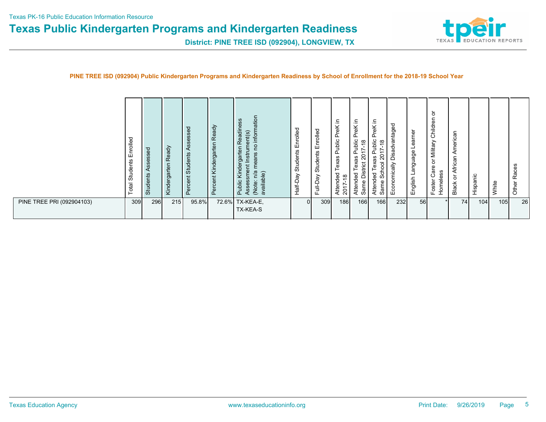

**District: PINE TREE ISD (092904), LONGVIEW, TX**

#### **PINE TREE ISD (092904) Public Kindergarten Programs and Kindergarten Readiness by School of Enrollment for the 2018-19 School Year**

|                           | ರ<br>Enrolle<br>Students<br>Total | $\sigma$<br>Ō<br>ဖ<br><b>SD</b><br>ဖ<br>Ö<br>◀<br>Students | ady<br>æ<br>rgarten<br>Kinder | $\sigma$<br>⋖<br>nts<br>Stude<br>ō<br>$\Omega$ | ā<br>$\mathbf{a}$<br>te<br>rga<br>$\mathbf{d}$<br><b>PO</b><br>Ϋ<br>$\overline{a}$<br>$\mathbf{d}$<br>c<br>$\omega$ | ation<br>ess<br>adin<br>inform<br>Instrument(s)<br>$\omega$<br>po<br>£<br>eans<br>БŐ<br>sment<br>Ē<br>Φ<br>ᄒ<br>š<br>n/a<br>(Note: n/a<br>available)<br>Public<br>Asses: | Enrolled<br>Students<br>Half-Day | Enrolled<br>Students<br>Full-Day | 르.<br>$\frac{\kappa}{\kappa}$<br>┶<br>௳<br>ublic<br>௳<br>exas<br>ರ<br>$\frac{\infty}{2}$<br>ᅙ<br>⊂<br>$rac{4}{201}$ | 크.<br>$\times$<br>Φ<br>൨<br>ublic<br>$\infty$<br>$\overline{\phantom{0}}$<br>$\overline{ }$<br>ສ<br>exas<br>ಕ<br>. —<br>Dis<br>ded<br>⊂<br>Attei<br>Sam | 크.<br>$\frac{1}{2}$<br>۰.<br>௨<br>ublic<br>$\infty$<br>$\overline{\phantom{0}}$<br>~<br>$\overline{\phantom{0}}$<br>$\overline{c}$<br>xas<br>ᅙ<br>$\omega$<br>$\circ$<br>흉<br>59<br>ၯ<br>ᅙ<br>Same<br>Atten | ರ<br>antageo<br>ㅎ<br>σ<br>öŝ<br>$\triangleq$<br>onomic<br>입 | earner<br>-<br>anguage<br>$\overline{\phantom{0}}$<br>English | ਠ<br>$\overline{\mathbf{v}}$<br>Childre<br>Military<br>১<br>Φ<br>ಹ<br>ဖာ<br>ഗ<br>ပ<br>Ф<br>Ō<br>Foster<br>E<br>Hon | ۴<br>merica<br>◀<br>۹Ű<br>Afric<br>১<br>Black | Ξ<br>ω<br>Spi<br>Hisp | White | ဖ<br>Race:<br>Other |
|---------------------------|-----------------------------------|------------------------------------------------------------|-------------------------------|------------------------------------------------|---------------------------------------------------------------------------------------------------------------------|--------------------------------------------------------------------------------------------------------------------------------------------------------------------------|----------------------------------|----------------------------------|---------------------------------------------------------------------------------------------------------------------|---------------------------------------------------------------------------------------------------------------------------------------------------------|-------------------------------------------------------------------------------------------------------------------------------------------------------------------------------------------------------------|-------------------------------------------------------------|---------------------------------------------------------------|--------------------------------------------------------------------------------------------------------------------|-----------------------------------------------|-----------------------|-------|---------------------|
| PINE TREE PRI (092904103) | 309                               | 296                                                        | 215                           | 95.8%                                          |                                                                                                                     | 72.6% TX-KEA-E,<br>TX-KEA-S                                                                                                                                              | $\Omega$                         | 309                              | 186                                                                                                                 | 166                                                                                                                                                     | 166                                                                                                                                                                                                         | 232                                                         | 56                                                            |                                                                                                                    | 74                                            | 104                   | 105   | 26                  |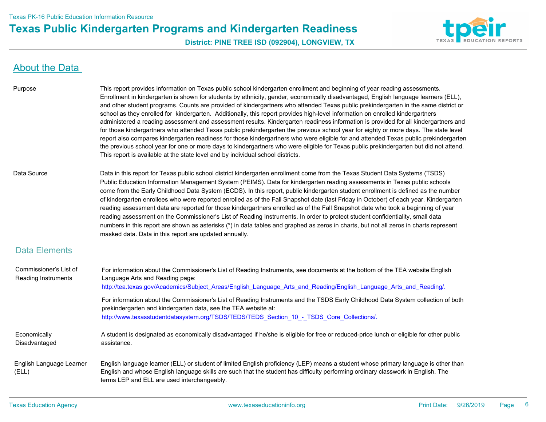

**District: PINE TREE ISD (092904), LONGVIEW, TX**

### About the Data

| Purpose | This report provides information on Texas public school kindergarten enrollment and beginning of year reading assessments.             |
|---------|----------------------------------------------------------------------------------------------------------------------------------------|
|         | Enrollment in kindergarten is shown for students by ethnicity, gender, economically disadvantaged, English language learners (ELL),    |
|         | and other student programs. Counts are provided of kindergartners who attended Texas public prekindergarten in the same district or    |
|         | school as they enrolled for kindergarten. Additionally, this report provides high-level information on enrolled kindergartners         |
|         | administered a reading assessment and assessment results. Kindergarten readiness information is provided for all kindergartners and    |
|         | for those kindergartners who attended Texas public prekindergarten the previous school year for eighty or more days. The state level   |
|         | report also compares kindergarten readiness for those kindergartners who were eligible for and attended Texas public prekindergarten   |
|         | the previous school year for one or more days to kindergartners who were eligible for Texas public prekindergarten but did not attend. |
|         | This report is available at the state level and by individual school districts.                                                        |

Data Source Data in this report for Texas public school district kindergarten enrollment come from the Texas Student Data Systems (TSDS) Public Education Information Management System (PEIMS). Data for kindergarten reading assessments in Texas public schools come from the Early Childhood Data System (ECDS). In this report, public kindergarten student enrollment is defined as the number of kindergarten enrollees who were reported enrolled as of the Fall Snapshot date (last Friday in October) of each year. Kindergarten reading assessment data are reported for those kindergartners enrolled as of the Fall Snapshot date who took a beginning of year reading assessment on the Commissioner's List of Reading Instruments. In order to protect student confidentiality, small data numbers in this report are shown as asterisks (\*) in data tables and graphed as zeros in charts, but not all zeros in charts represent masked data. Data in this report are updated annually.

#### Data Elements

| Commissioner's List of<br>Reading Instruments | For information about the Commissioner's List of Reading Instruments, see documents at the bottom of the TEA website English<br>Language Arts and Reading page:<br>http://tea.texas.gov/Academics/Subject Areas/English Language Arts and Reading/English Language Arts and Reading/.                                  |
|-----------------------------------------------|------------------------------------------------------------------------------------------------------------------------------------------------------------------------------------------------------------------------------------------------------------------------------------------------------------------------|
|                                               | For information about the Commissioner's List of Reading Instruments and the TSDS Early Childhood Data System collection of both<br>prekindergarten and kindergarten data, see the TEA website at:<br>http://www.texasstudentdatasystem.org/TSDS/TEDS/TEDS Section 10 - TSDS Core Collections/.                        |
| Economically<br>Disadvantaged                 | A student is designated as economically disadvantaged if he/she is eligible for free or reduced-price lunch or eligible for other public<br>assistance.                                                                                                                                                                |
| English Language Learner<br>(ELL)             | English language learner (ELL) or student of limited English proficiency (LEP) means a student whose primary language is other than<br>English and whose English language skills are such that the student has difficulty performing ordinary classwork in English. The<br>terms LEP and ELL are used interchangeably. |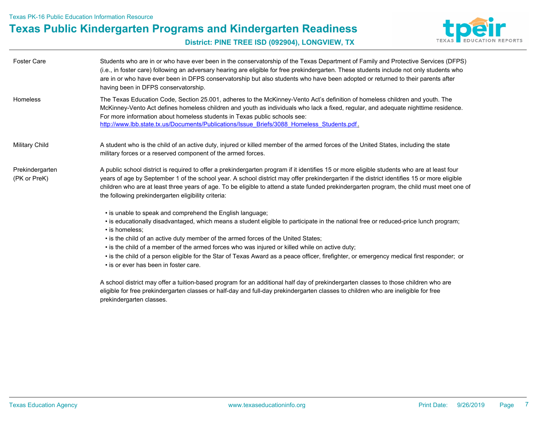

**District: PINE TREE ISD (092904), LONGVIEW, TX**

| <b>Foster Care</b>              | Students who are in or who have ever been in the conservatorship of the Texas Department of Family and Protective Services (DFPS)<br>(i.e., in foster care) following an adversary hearing are eligible for free prekindergarten. These students include not only students who<br>are in or who have ever been in DFPS conservatorship but also students who have been adopted or returned to their parents after<br>having been in DFPS conservatorship.                                     |
|---------------------------------|-----------------------------------------------------------------------------------------------------------------------------------------------------------------------------------------------------------------------------------------------------------------------------------------------------------------------------------------------------------------------------------------------------------------------------------------------------------------------------------------------|
| Homeless                        | The Texas Education Code, Section 25.001, adheres to the McKinney-Vento Act's definition of homeless children and youth. The<br>McKinney-Vento Act defines homeless children and youth as individuals who lack a fixed, regular, and adequate nighttime residence.<br>For more information about homeless students in Texas public schools see:<br>http://www.lbb.state.tx.us/Documents/Publications/Issue Briefs/3088 Homeless Students.pdf.                                                 |
| Military Child                  | A student who is the child of an active duty, injured or killed member of the armed forces of the United States, including the state<br>military forces or a reserved component of the armed forces.                                                                                                                                                                                                                                                                                          |
| Prekindergarten<br>(PK or PreK) | A public school district is required to offer a prekindergarten program if it identifies 15 or more eligible students who are at least four<br>years of age by September 1 of the school year. A school district may offer prekindergarten if the district identifies 15 or more eligible<br>children who are at least three years of age. To be eligible to attend a state funded prekindergarten program, the child must meet one of<br>the following prekindergarten eligibility criteria: |
|                                 | • is unable to speak and comprehend the English language;<br>• is educationally disadvantaged, which means a student eligible to participate in the national free or reduced-price lunch program;<br>• is homeless:<br>• is the child of an active duty member of the armed forces of the United States;                                                                                                                                                                                      |

- is the child of a member of the armed forces who was injured or killed while on active duty;
- is the child of a person eligible for the Star of Texas Award as a peace officer, firefighter, or emergency medical first responder; or
- is or ever has been in foster care.

A school district may offer a tuition-based program for an additional half day of prekindergarten classes to those children who are eligible for free prekindergarten classes or half-day and full-day prekindergarten classes to children who are ineligible for free prekindergarten classes.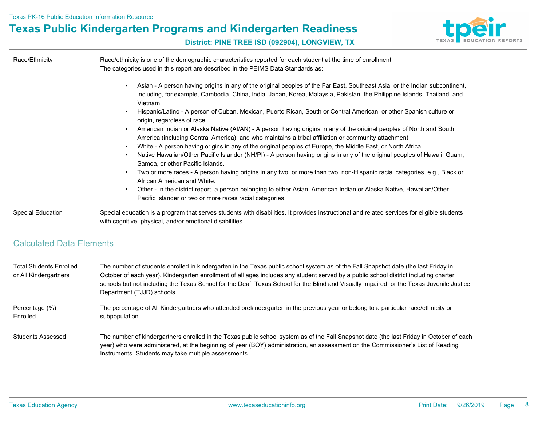

#### **District: PINE TREE ISD (092904), LONGVIEW, TX**

| Race/Ethnicity                  | Race/ethnicity is one of the demographic characteristics reported for each student at the time of enrollment.<br>The categories used in this report are described in the PEIMS Data Standards as:                                                                                                                                                                                                                                                                                                                                                                                                                                                                                                                                                                                                                                                                                                                                                                                                                                                                                                                                                                                                                                                                                               |
|---------------------------------|-------------------------------------------------------------------------------------------------------------------------------------------------------------------------------------------------------------------------------------------------------------------------------------------------------------------------------------------------------------------------------------------------------------------------------------------------------------------------------------------------------------------------------------------------------------------------------------------------------------------------------------------------------------------------------------------------------------------------------------------------------------------------------------------------------------------------------------------------------------------------------------------------------------------------------------------------------------------------------------------------------------------------------------------------------------------------------------------------------------------------------------------------------------------------------------------------------------------------------------------------------------------------------------------------|
|                                 | Asian - A person having origins in any of the original peoples of the Far East, Southeast Asia, or the Indian subcontinent,<br>including, for example, Cambodia, China, India, Japan, Korea, Malaysia, Pakistan, the Philippine Islands, Thailand, and<br>Vietnam.<br>Hispanic/Latino - A person of Cuban, Mexican, Puerto Rican, South or Central American, or other Spanish culture or<br>origin, regardless of race.<br>American Indian or Alaska Native (AI/AN) - A person having origins in any of the original peoples of North and South<br>America (including Central America), and who maintains a tribal affiliation or community attachment.<br>White - A person having origins in any of the original peoples of Europe, the Middle East, or North Africa.<br>٠<br>Native Hawaiian/Other Pacific Islander (NH/PI) - A person having origins in any of the original peoples of Hawaii, Guam,<br>Samoa, or other Pacific Islands.<br>Two or more races - A person having origins in any two, or more than two, non-Hispanic racial categories, e.g., Black or<br>African American and White.<br>Other - In the district report, a person belonging to either Asian, American Indian or Alaska Native, Hawaiian/Other<br>٠<br>Pacific Islander or two or more races racial categories. |
| <b>Special Education</b>        | Special education is a program that serves students with disabilities. It provides instructional and related services for eligible students<br>with cognitive, physical, and/or emotional disabilities.                                                                                                                                                                                                                                                                                                                                                                                                                                                                                                                                                                                                                                                                                                                                                                                                                                                                                                                                                                                                                                                                                         |
| <b>Calculated Data Elements</b> |                                                                                                                                                                                                                                                                                                                                                                                                                                                                                                                                                                                                                                                                                                                                                                                                                                                                                                                                                                                                                                                                                                                                                                                                                                                                                                 |
|                                 |                                                                                                                                                                                                                                                                                                                                                                                                                                                                                                                                                                                                                                                                                                                                                                                                                                                                                                                                                                                                                                                                                                                                                                                                                                                                                                 |

The number of students enrolled in kindergarten in the Texas public school system as of the Fall Snapshot date (the last Friday in October of each year). Kindergarten enrollment of all ages includes any student served by a public school district including charter schools but not including the Texas School for the Deaf, Texas School for the Blind and Visually Impaired, or the Texas Juvenile Justice Department (TJJD) schools. Total Students Enrolled or All Kindergartners

The percentage of All Kindergartners who attended prekindergarten in the previous year or belong to a particular race/ethnicity or subpopulation. Percentage (%) Enrolled

Students Assessed The number of kindergartners enrolled in the Texas public school system as of the Fall Snapshot date (the last Friday in October of each year) who were administered, at the beginning of year (BOY) administration, an assessment on the Commissioner's List of Reading Instruments. Students may take multiple assessments.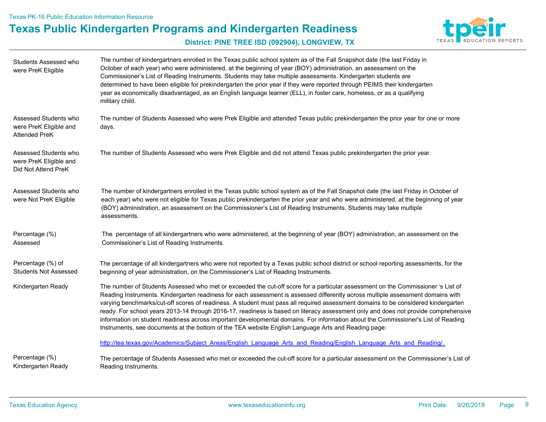

| Students Assessed who<br>were PreK Eligible                             | The number of kindergartners enrolled in the Texas public school system as of the Fall Snapshot date (the last Friday in<br>October of each year) who were administered, at the beginning of year (BOY) administration, an assessment on the<br>Commissioner's List of Reading Instruments. Students may take multiple assessments. Kindergarten students are<br>determined to have been eligible for prekindergarten the prior year if they were reported through PEIMS their kindergarten<br>year as economically disadvantaged, as an English language learner (ELL), in foster care, homeless, or as a qualifying<br>military child.                                                                                                                                                   |
|-------------------------------------------------------------------------|--------------------------------------------------------------------------------------------------------------------------------------------------------------------------------------------------------------------------------------------------------------------------------------------------------------------------------------------------------------------------------------------------------------------------------------------------------------------------------------------------------------------------------------------------------------------------------------------------------------------------------------------------------------------------------------------------------------------------------------------------------------------------------------------|
| Assessed Students who<br>were PreK Eligible and<br><b>Attended PreK</b> | The number of Students Assessed who were Prek Eligible and attended Texas public prekindergarten the prior year for one or more<br>days.                                                                                                                                                                                                                                                                                                                                                                                                                                                                                                                                                                                                                                                   |
| Assessed Students who<br>were PreK Eligible and<br>Did Not Attend PreK  | The number of Students Assessed who were Prek Eligible and did not attend Texas public prekindergarten the prior year.                                                                                                                                                                                                                                                                                                                                                                                                                                                                                                                                                                                                                                                                     |
| Assessed Students who<br>were Not PreK Eligible                         | The number of kindergartners enrolled in the Texas public school system as of the Fall Snapshot date (the last Friday in October of<br>each year) who were not eligible for Texas public prekindergarten the prior year and who were administered, at the beginning of year<br>(BOY) administration, an assessment on the Commissioner's List of Reading Instruments. Students may take multiple<br>assessments.                                                                                                                                                                                                                                                                                                                                                                           |
| Percentage (%)<br>Assessed                                              | The percentage of all kindergartners who were administered, at the beginning of year (BOY) administration, an assessment on the<br>Commissioner's List of Reading Instruments.                                                                                                                                                                                                                                                                                                                                                                                                                                                                                                                                                                                                             |
| Percentage (%) of<br><b>Students Not Assessed</b>                       | The percentage of all kindergartners who were not reported by a Texas public school district or school reporting assessments, for the<br>beginning of year administration, on the Commissioner's List of Reading Instruments.                                                                                                                                                                                                                                                                                                                                                                                                                                                                                                                                                              |
| Kindergarten Ready                                                      | The number of Students Assessed who met or exceeded the cut-off score for a particular assessment on the Commissioner 's List of<br>Reading Instruments. Kindergarten readiness for each assessment is assessed differently across multiple assessment domains with<br>varying benchmarks/cut-off scores of readiness. A student must pass all required assessment domains to be considered kindergarten<br>ready. For school years 2013-14 through 2016-17, readiness is based on literacy assessment only and does not provide comprehensive<br>information on student readiness across important developmental domains. For information about the Commissioner's List of Reading<br>Instruments, see documents at the bottom of the TEA website English Language Arts and Reading page: |
|                                                                         | http://tea.texas.gov/Academics/Subject Areas/English Language Arts and Reading/English Language Arts and Reading/.                                                                                                                                                                                                                                                                                                                                                                                                                                                                                                                                                                                                                                                                         |
| Percentage (%)<br>Kindergarten Ready                                    | The percentage of Students Assessed who met or exceeded the cut-off score for a particular assessment on the Commissioner's List of<br>Reading Instruments.                                                                                                                                                                                                                                                                                                                                                                                                                                                                                                                                                                                                                                |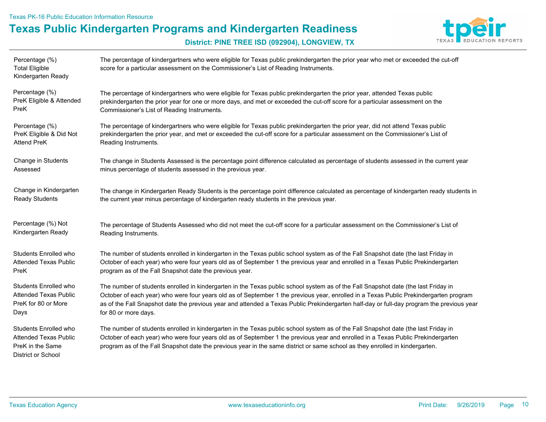Texas PK-16 Public Education Information Resource

## **Texas Public Kindergarten Programs and Kindergarten Readiness**



| Percentage (%)<br><b>Total Eligible</b><br>Kindergarten Ready                                   | The percentage of kindergartners who were eligible for Texas public prekindergarten the prior year who met or exceeded the cut-off<br>score for a particular assessment on the Commissioner's List of Reading Instruments.                                                                                                                                                                             |
|-------------------------------------------------------------------------------------------------|--------------------------------------------------------------------------------------------------------------------------------------------------------------------------------------------------------------------------------------------------------------------------------------------------------------------------------------------------------------------------------------------------------|
| Percentage (%)                                                                                  | The percentage of kindergartners who were eligible for Texas public prekindergarten the prior year, attended Texas public                                                                                                                                                                                                                                                                              |
| PreK Eligible & Attended                                                                        | prekindergarten the prior year for one or more days, and met or exceeded the cut-off score for a particular assessment on the                                                                                                                                                                                                                                                                          |
| PreK                                                                                            | Commissioner's List of Reading Instruments.                                                                                                                                                                                                                                                                                                                                                            |
| Percentage (%)                                                                                  | The percentage of kindergartners who were eligible for Texas public prekindergarten the prior year, did not attend Texas public                                                                                                                                                                                                                                                                        |
| PreK Eligible & Did Not                                                                         | prekindergarten the prior year, and met or exceeded the cut-off score for a particular assessment on the Commissioner's List of                                                                                                                                                                                                                                                                        |
| <b>Attend PreK</b>                                                                              | Reading Instruments.                                                                                                                                                                                                                                                                                                                                                                                   |
| Change in Students                                                                              | The change in Students Assessed is the percentage point difference calculated as percentage of students assessed in the current year                                                                                                                                                                                                                                                                   |
| Assessed                                                                                        | minus percentage of students assessed in the previous year.                                                                                                                                                                                                                                                                                                                                            |
| Change in Kindergarten                                                                          | The change in Kindergarten Ready Students is the percentage point difference calculated as percentage of kindergarten ready students in                                                                                                                                                                                                                                                                |
| <b>Ready Students</b>                                                                           | the current year minus percentage of kindergarten ready students in the previous year.                                                                                                                                                                                                                                                                                                                 |
| Percentage (%) Not                                                                              | The percentage of Students Assessed who did not meet the cut-off score for a particular assessment on the Commissioner's List of                                                                                                                                                                                                                                                                       |
| Kindergarten Ready                                                                              | Reading Instruments.                                                                                                                                                                                                                                                                                                                                                                                   |
| Students Enrolled who                                                                           | The number of students enrolled in kindergarten in the Texas public school system as of the Fall Snapshot date (the last Friday in                                                                                                                                                                                                                                                                     |
| <b>Attended Texas Public</b>                                                                    | October of each year) who were four years old as of September 1 the previous year and enrolled in a Texas Public Prekindergarten                                                                                                                                                                                                                                                                       |
| PreK                                                                                            | program as of the Fall Snapshot date the previous year.                                                                                                                                                                                                                                                                                                                                                |
| Students Enrolled who                                                                           | The number of students enrolled in kindergarten in the Texas public school system as of the Fall Snapshot date (the last Friday in                                                                                                                                                                                                                                                                     |
| <b>Attended Texas Public</b>                                                                    | October of each year) who were four years old as of September 1 the previous year, enrolled in a Texas Public Prekindergarten program                                                                                                                                                                                                                                                                  |
| PreK for 80 or More                                                                             | as of the Fall Snapshot date the previous year and attended a Texas Public Prekindergarten half-day or full-day program the previous year                                                                                                                                                                                                                                                              |
| Days                                                                                            | for 80 or more days.                                                                                                                                                                                                                                                                                                                                                                                   |
| Students Enrolled who<br><b>Attended Texas Public</b><br>PreK in the Same<br>District or School | The number of students enrolled in kindergarten in the Texas public school system as of the Fall Snapshot date (the last Friday in<br>October of each year) who were four years old as of September 1 the previous year and enrolled in a Texas Public Prekindergarten<br>program as of the Fall Snapshot date the previous year in the same district or same school as they enrolled in kindergarten. |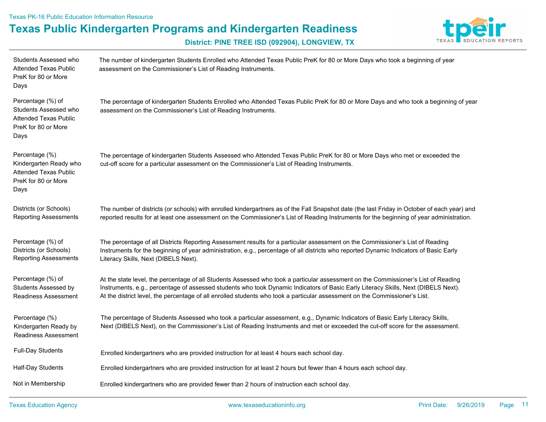Texas PK-16 Public Education Information Resource

**Texas Public Kindergarten Programs and Kindergarten Readiness**



| Students Assessed who<br><b>Attended Texas Public</b><br>PreK for 80 or More<br>Days                      | The number of kindergarten Students Enrolled who Attended Texas Public PreK for 80 or More Days who took a beginning of year<br>assessment on the Commissioner's List of Reading Instruments.                                                                                                                                                                                                           |
|-----------------------------------------------------------------------------------------------------------|---------------------------------------------------------------------------------------------------------------------------------------------------------------------------------------------------------------------------------------------------------------------------------------------------------------------------------------------------------------------------------------------------------|
| Percentage (%) of<br>Students Assessed who<br><b>Attended Texas Public</b><br>PreK for 80 or More<br>Days | The percentage of kindergarten Students Enrolled who Attended Texas Public PreK for 80 or More Days and who took a beginning of year<br>assessment on the Commissioner's List of Reading Instruments.                                                                                                                                                                                                   |
| Percentage (%)<br>Kindergarten Ready who<br><b>Attended Texas Public</b><br>PreK for 80 or More<br>Days   | The percentage of kindergarten Students Assessed who Attended Texas Public PreK for 80 or More Days who met or exceeded the<br>cut-off score for a particular assessment on the Commissioner's List of Reading Instruments.                                                                                                                                                                             |
| Districts (or Schools)<br><b>Reporting Assessments</b>                                                    | The number of districts (or schools) with enrolled kindergartners as of the Fall Snapshot date (the last Friday in October of each year) and<br>reported results for at least one assessment on the Commissioner's List of Reading Instruments for the beginning of year administration.                                                                                                                |
| Percentage (%) of<br>Districts (or Schools)<br><b>Reporting Assessments</b>                               | The percentage of all Districts Reporting Assessment results for a particular assessment on the Commissioner's List of Reading<br>Instruments for the beginning of year administration, e.g., percentage of all districts who reported Dynamic Indicators of Basic Early<br>Literacy Skills, Next (DIBELS Next).                                                                                        |
| Percentage (%) of<br>Students Assessed by<br>Readiness Assessment                                         | At the state level, the percentage of all Students Assessed who took a particular assessment on the Commissioner's List of Reading<br>Instruments, e.g., percentage of assessed students who took Dynamic Indicators of Basic Early Literacy Skills, Next (DIBELS Next).<br>At the district level, the percentage of all enrolled students who took a particular assessment on the Commissioner's List. |
| Percentage (%)<br>Kindergarten Ready by<br><b>Readiness Assessment</b>                                    | The percentage of Students Assessed who took a particular assessment, e.g., Dynamic Indicators of Basic Early Literacy Skills,<br>Next (DIBELS Next), on the Commissioner's List of Reading Instruments and met or exceeded the cut-off score for the assessment.                                                                                                                                       |
| <b>Full-Day Students</b>                                                                                  | Enrolled kindergartners who are provided instruction for at least 4 hours each school day.                                                                                                                                                                                                                                                                                                              |
| Half-Day Students                                                                                         | Enrolled kindergartners who are provided instruction for at least 2 hours but fewer than 4 hours each school day.                                                                                                                                                                                                                                                                                       |
| Not in Membership                                                                                         | Enrolled kindergartners who are provided fewer than 2 hours of instruction each school day.                                                                                                                                                                                                                                                                                                             |